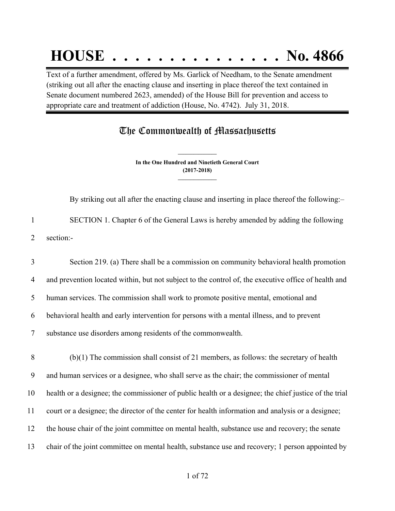# **HOUSE . . . . . . . . . . . . . . . No. 4866**

Text of a further amendment, offered by Ms. Garlick of Needham, to the Senate amendment (striking out all after the enacting clause and inserting in place thereof the text contained in Senate document numbered 2623, amended) of the House Bill for prevention and access to appropriate care and treatment of addiction (House, No. 4742). July 31, 2018.

## The Commonwealth of Massachusetts

**In the One Hundred and Ninetieth General Court (2017-2018) \_\_\_\_\_\_\_\_\_\_\_\_\_\_\_**

**\_\_\_\_\_\_\_\_\_\_\_\_\_\_\_**

By striking out all after the enacting clause and inserting in place thereof the following:– 1 SECTION 1. Chapter 6 of the General Laws is hereby amended by adding the following

2 section:-

 Section 219. (a) There shall be a commission on community behavioral health promotion and prevention located within, but not subject to the control of, the executive office of health and human services. The commission shall work to promote positive mental, emotional and behavioral health and early intervention for persons with a mental illness, and to prevent substance use disorders among residents of the commonwealth.

 (b)(1) The commission shall consist of 21 members, as follows: the secretary of health and human services or a designee, who shall serve as the chair; the commissioner of mental health or a designee; the commissioner of public health or a designee; the chief justice of the trial court or a designee; the director of the center for health information and analysis or a designee; the house chair of the joint committee on mental health, substance use and recovery; the senate chair of the joint committee on mental health, substance use and recovery; 1 person appointed by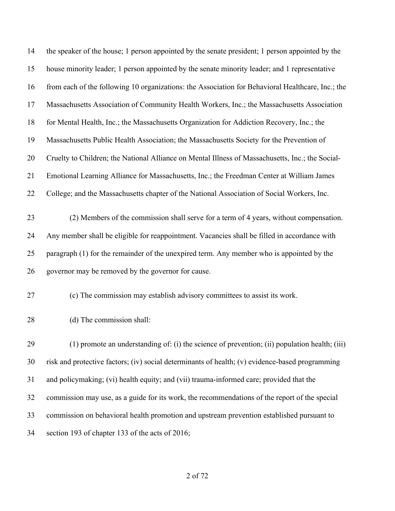| 14 | the speaker of the house; 1 person appointed by the senate president; 1 person appointed by the   |
|----|---------------------------------------------------------------------------------------------------|
| 15 | house minority leader; 1 person appointed by the senate minority leader; and 1 representative     |
| 16 | from each of the following 10 organizations: the Association for Behavioral Healthcare, Inc.; the |
| 17 | Massachusetts Association of Community Health Workers, Inc.; the Massachusetts Association        |
| 18 | for Mental Health, Inc.; the Massachusetts Organization for Addiction Recovery, Inc.; the         |
| 19 | Massachusetts Public Health Association; the Massachusetts Society for the Prevention of          |
| 20 | Cruelty to Children; the National Alliance on Mental Illness of Massachusetts, Inc.; the Social-  |
| 21 | Emotional Learning Alliance for Massachusetts, Inc.; the Freedman Center at William James         |
| 22 | College; and the Massachusetts chapter of the National Association of Social Workers, Inc.        |
| 23 | (2) Members of the commission shall serve for a term of 4 years, without compensation.            |
| 24 | Any member shall be eligible for reappointment. Vacancies shall be filled in accordance with      |
| 25 | paragraph (1) for the remainder of the unexpired term. Any member who is appointed by the         |
| 26 | governor may be removed by the governor for cause.                                                |
| 27 | (c) The commission may establish advisory committees to assist its work.                          |
| 28 | (d) The commission shall:                                                                         |
| 29 | (1) promote an understanding of: (i) the science of prevention; (ii) population health; (iii)     |
| 30 | risk and protective factors; (iv) social determinants of health; (v) evidence-based programming   |
| 31 | and policymaking; (vi) health equity; and (vii) trauma-informed care; provided that the           |
| 32 | commission may use, as a guide for its work, the recommendations of the report of the special     |
| 33 | commission on behavioral health promotion and upstream prevention established pursuant to         |
| 34 | section 193 of chapter 133 of the acts of 2016;                                                   |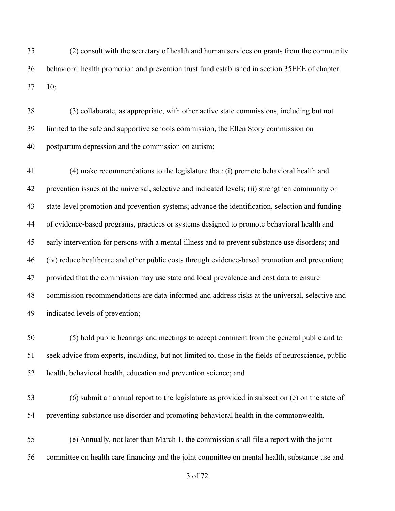(2) consult with the secretary of health and human services on grants from the community behavioral health promotion and prevention trust fund established in section 35EEE of chapter 10;

 (3) collaborate, as appropriate, with other active state commissions, including but not limited to the safe and supportive schools commission, the Ellen Story commission on postpartum depression and the commission on autism;

 (4) make recommendations to the legislature that: (i) promote behavioral health and prevention issues at the universal, selective and indicated levels; (ii) strengthen community or state-level promotion and prevention systems; advance the identification, selection and funding of evidence-based programs, practices or systems designed to promote behavioral health and early intervention for persons with a mental illness and to prevent substance use disorders; and (iv) reduce healthcare and other public costs through evidence-based promotion and prevention; provided that the commission may use state and local prevalence and cost data to ensure commission recommendations are data-informed and address risks at the universal, selective and indicated levels of prevention;

 (5) hold public hearings and meetings to accept comment from the general public and to seek advice from experts, including, but not limited to, those in the fields of neuroscience, public health, behavioral health, education and prevention science; and

 (6) submit an annual report to the legislature as provided in subsection (e) on the state of preventing substance use disorder and promoting behavioral health in the commonwealth.

 (e) Annually, not later than March 1, the commission shall file a report with the joint committee on health care financing and the joint committee on mental health, substance use and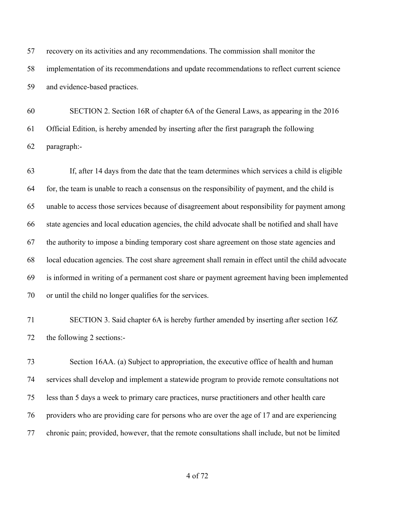recovery on its activities and any recommendations. The commission shall monitor the implementation of its recommendations and update recommendations to reflect current science and evidence-based practices.

 SECTION 2. Section 16R of chapter 6A of the General Laws, as appearing in the 2016 Official Edition, is hereby amended by inserting after the first paragraph the following paragraph:-

 If, after 14 days from the date that the team determines which services a child is eligible for, the team is unable to reach a consensus on the responsibility of payment, and the child is unable to access those services because of disagreement about responsibility for payment among state agencies and local education agencies, the child advocate shall be notified and shall have the authority to impose a binding temporary cost share agreement on those state agencies and local education agencies. The cost share agreement shall remain in effect until the child advocate is informed in writing of a permanent cost share or payment agreement having been implemented or until the child no longer qualifies for the services.

 SECTION 3. Said chapter 6A is hereby further amended by inserting after section 16Z the following 2 sections:-

 Section 16AA. (a) Subject to appropriation, the executive office of health and human services shall develop and implement a statewide program to provide remote consultations not less than 5 days a week to primary care practices, nurse practitioners and other health care providers who are providing care for persons who are over the age of 17 and are experiencing chronic pain; provided, however, that the remote consultations shall include, but not be limited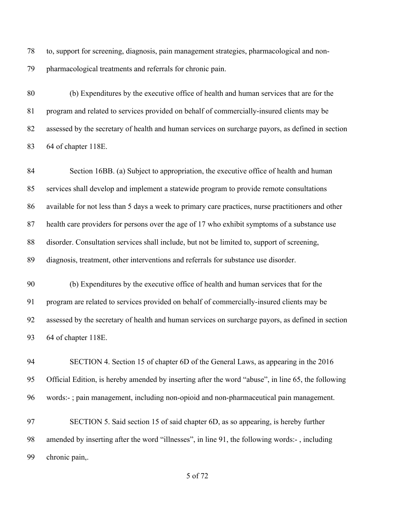to, support for screening, diagnosis, pain management strategies, pharmacological and non-pharmacological treatments and referrals for chronic pain.

 (b) Expenditures by the executive office of health and human services that are for the program and related to services provided on behalf of commercially-insured clients may be assessed by the secretary of health and human services on surcharge payors, as defined in section 64 of chapter 118E.

 Section 16BB. (a) Subject to appropriation, the executive office of health and human services shall develop and implement a statewide program to provide remote consultations available for not less than 5 days a week to primary care practices, nurse practitioners and other health care providers for persons over the age of 17 who exhibit symptoms of a substance use disorder. Consultation services shall include, but not be limited to, support of screening, diagnosis, treatment, other interventions and referrals for substance use disorder.

 (b) Expenditures by the executive office of health and human services that for the program are related to services provided on behalf of commercially-insured clients may be assessed by the secretary of health and human services on surcharge payors, as defined in section 64 of chapter 118E.

 SECTION 4. Section 15 of chapter 6D of the General Laws, as appearing in the 2016 Official Edition, is hereby amended by inserting after the word "abuse", in line 65, the following words:- ; pain management, including non-opioid and non-pharmaceutical pain management.

 SECTION 5. Said section 15 of said chapter 6D, as so appearing, is hereby further amended by inserting after the word "illnesses", in line 91, the following words:- , including chronic pain,.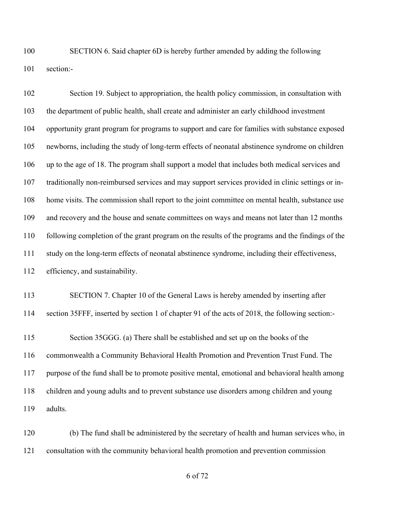SECTION 6. Said chapter 6D is hereby further amended by adding the following section:-

 Section 19. Subject to appropriation, the health policy commission, in consultation with the department of public health, shall create and administer an early childhood investment opportunity grant program for programs to support and care for families with substance exposed newborns, including the study of long-term effects of neonatal abstinence syndrome on children up to the age of 18. The program shall support a model that includes both medical services and traditionally non-reimbursed services and may support services provided in clinic settings or in- home visits. The commission shall report to the joint committee on mental health, substance use and recovery and the house and senate committees on ways and means not later than 12 months following completion of the grant program on the results of the programs and the findings of the study on the long-term effects of neonatal abstinence syndrome, including their effectiveness, efficiency, and sustainability.

 SECTION 7. Chapter 10 of the General Laws is hereby amended by inserting after section 35FFF, inserted by section 1 of chapter 91 of the acts of 2018, the following section:-

 Section 35GGG. (a) There shall be established and set up on the books of the commonwealth a Community Behavioral Health Promotion and Prevention Trust Fund. The purpose of the fund shall be to promote positive mental, emotional and behavioral health among children and young adults and to prevent substance use disorders among children and young adults.

 (b) The fund shall be administered by the secretary of health and human services who, in consultation with the community behavioral health promotion and prevention commission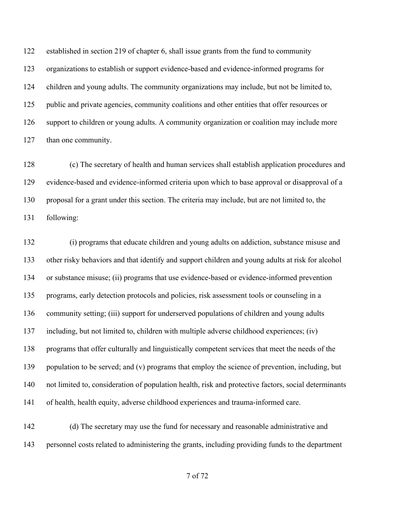established in section 219 of chapter 6, shall issue grants from the fund to community organizations to establish or support evidence-based and evidence-informed programs for children and young adults. The community organizations may include, but not be limited to, public and private agencies, community coalitions and other entities that offer resources or support to children or young adults. A community organization or coalition may include more 127 than one community.

 (c) The secretary of health and human services shall establish application procedures and evidence-based and evidence-informed criteria upon which to base approval or disapproval of a proposal for a grant under this section. The criteria may include, but are not limited to, the following:

 (i) programs that educate children and young adults on addiction, substance misuse and other risky behaviors and that identify and support children and young adults at risk for alcohol or substance misuse; (ii) programs that use evidence-based or evidence-informed prevention programs, early detection protocols and policies, risk assessment tools or counseling in a community setting; (iii) support for underserved populations of children and young adults including, but not limited to, children with multiple adverse childhood experiences; (iv) programs that offer culturally and linguistically competent services that meet the needs of the 139 population to be served; and (v) programs that employ the science of prevention, including, but not limited to, consideration of population health, risk and protective factors, social determinants of health, health equity, adverse childhood experiences and trauma-informed care.

 (d) The secretary may use the fund for necessary and reasonable administrative and personnel costs related to administering the grants, including providing funds to the department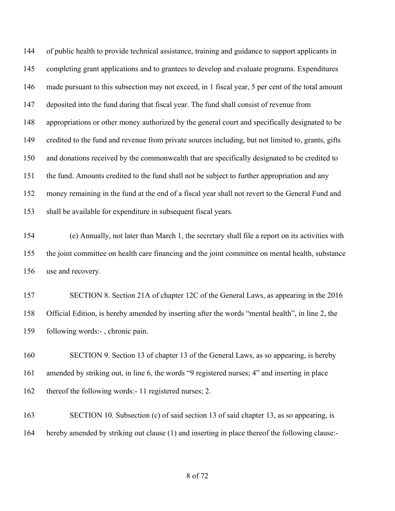of public health to provide technical assistance, training and guidance to support applicants in completing grant applications and to grantees to develop and evaluate programs. Expenditures made pursuant to this subsection may not exceed, in 1 fiscal year, 5 per cent of the total amount deposited into the fund during that fiscal year. The fund shall consist of revenue from appropriations or other money authorized by the general court and specifically designated to be credited to the fund and revenue from private sources including, but not limited to, grants, gifts and donations received by the commonwealth that are specifically designated to be credited to the fund. Amounts credited to the fund shall not be subject to further appropriation and any money remaining in the fund at the end of a fiscal year shall not revert to the General Fund and shall be available for expenditure in subsequent fiscal years.

 (e) Annually, not later than March 1, the secretary shall file a report on its activities with the joint committee on health care financing and the joint committee on mental health, substance use and recovery.

 SECTION 8. Section 21A of chapter 12C of the General Laws, as appearing in the 2016 Official Edition, is hereby amended by inserting after the words "mental health", in line 2, the following words:- , chronic pain.

 SECTION 9. Section 13 of chapter 13 of the General Laws, as so appearing, is hereby amended by striking out, in line 6, the words "9 registered nurses; 4" and inserting in place thereof the following words:- 11 registered nurses; 2.

 SECTION 10. Subsection (c) of said section 13 of said chapter 13, as so appearing, is hereby amended by striking out clause (1) and inserting in place thereof the following clause:-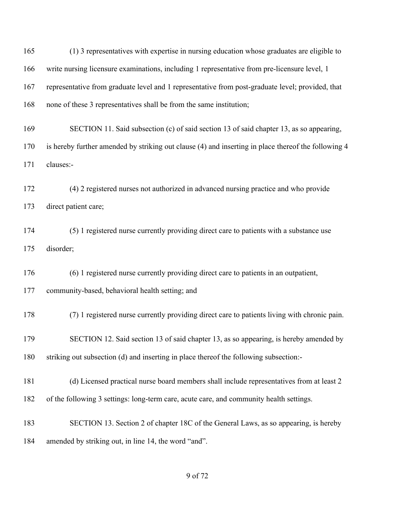(1) 3 representatives with expertise in nursing education whose graduates are eligible to write nursing licensure examinations, including 1 representative from pre-licensure level, 1 representative from graduate level and 1 representative from post-graduate level; provided, that none of these 3 representatives shall be from the same institution; SECTION 11. Said subsection (c) of said section 13 of said chapter 13, as so appearing, is hereby further amended by striking out clause (4) and inserting in place thereof the following 4 clauses:- (4) 2 registered nurses not authorized in advanced nursing practice and who provide direct patient care; (5) 1 registered nurse currently providing direct care to patients with a substance use disorder; (6) 1 registered nurse currently providing direct care to patients in an outpatient, community-based, behavioral health setting; and (7) 1 registered nurse currently providing direct care to patients living with chronic pain. SECTION 12. Said section 13 of said chapter 13, as so appearing, is hereby amended by striking out subsection (d) and inserting in place thereof the following subsection:- (d) Licensed practical nurse board members shall include representatives from at least 2 of the following 3 settings: long-term care, acute care, and community health settings. SECTION 13. Section 2 of chapter 18C of the General Laws, as so appearing, is hereby amended by striking out, in line 14, the word "and".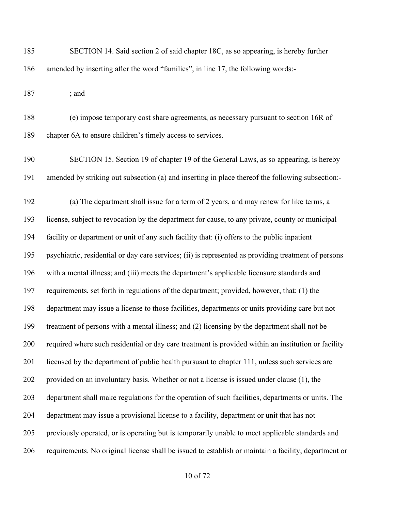SECTION 14. Said section 2 of said chapter 18C, as so appearing, is hereby further amended by inserting after the word "families", in line 17, the following words:-

; and

 (e) impose temporary cost share agreements, as necessary pursuant to section 16R of chapter 6A to ensure children's timely access to services.

 SECTION 15. Section 19 of chapter 19 of the General Laws, as so appearing, is hereby amended by striking out subsection (a) and inserting in place thereof the following subsection:-

 (a) The department shall issue for a term of 2 years, and may renew for like terms, a license, subject to revocation by the department for cause, to any private, county or municipal facility or department or unit of any such facility that: (i) offers to the public inpatient psychiatric, residential or day care services; (ii) is represented as providing treatment of persons with a mental illness; and (iii) meets the department's applicable licensure standards and requirements, set forth in regulations of the department; provided, however, that: (1) the department may issue a license to those facilities, departments or units providing care but not treatment of persons with a mental illness; and (2) licensing by the department shall not be required where such residential or day care treatment is provided within an institution or facility licensed by the department of public health pursuant to chapter 111, unless such services are provided on an involuntary basis. Whether or not a license is issued under clause (1), the department shall make regulations for the operation of such facilities, departments or units. The department may issue a provisional license to a facility, department or unit that has not previously operated, or is operating but is temporarily unable to meet applicable standards and requirements. No original license shall be issued to establish or maintain a facility, department or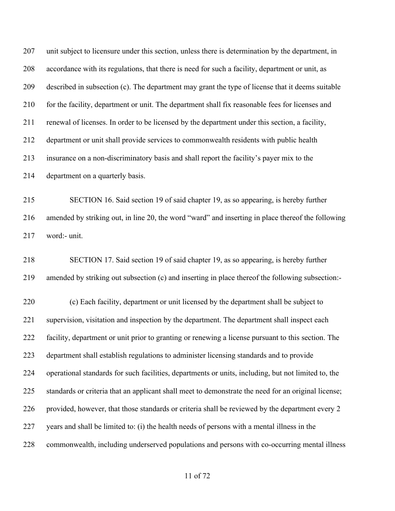unit subject to licensure under this section, unless there is determination by the department, in accordance with its regulations, that there is need for such a facility, department or unit, as described in subsection (c). The department may grant the type of license that it deems suitable for the facility, department or unit. The department shall fix reasonable fees for licenses and renewal of licenses. In order to be licensed by the department under this section, a facility, department or unit shall provide services to commonwealth residents with public health insurance on a non-discriminatory basis and shall report the facility's payer mix to the department on a quarterly basis. SECTION 16. Said section 19 of said chapter 19, as so appearing, is hereby further amended by striking out, in line 20, the word "ward" and inserting in place thereof the following word:- unit.

 SECTION 17. Said section 19 of said chapter 19, as so appearing, is hereby further amended by striking out subsection (c) and inserting in place thereof the following subsection:-

 (c) Each facility, department or unit licensed by the department shall be subject to supervision, visitation and inspection by the department. The department shall inspect each facility, department or unit prior to granting or renewing a license pursuant to this section. The department shall establish regulations to administer licensing standards and to provide operational standards for such facilities, departments or units, including, but not limited to, the standards or criteria that an applicant shall meet to demonstrate the need for an original license; provided, however, that those standards or criteria shall be reviewed by the department every 2 years and shall be limited to: (i) the health needs of persons with a mental illness in the commonwealth, including underserved populations and persons with co-occurring mental illness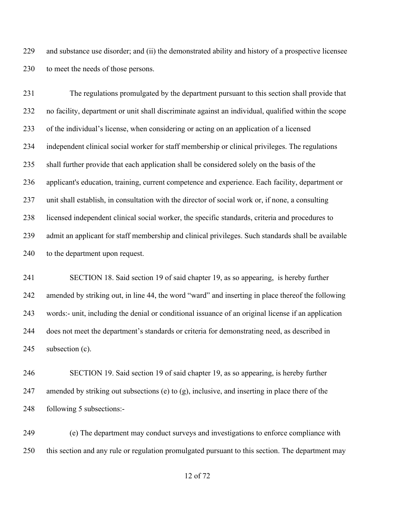and substance use disorder; and (ii) the demonstrated ability and history of a prospective licensee to meet the needs of those persons.

 The regulations promulgated by the department pursuant to this section shall provide that no facility, department or unit shall discriminate against an individual, qualified within the scope of the individual's license, when considering or acting on an application of a licensed independent clinical social worker for staff membership or clinical privileges. The regulations shall further provide that each application shall be considered solely on the basis of the applicant's education, training, current competence and experience. Each facility, department or unit shall establish, in consultation with the director of social work or, if none, a consulting licensed independent clinical social worker, the specific standards, criteria and procedures to admit an applicant for staff membership and clinical privileges. Such standards shall be available 240 to the department upon request.

 SECTION 18. Said section 19 of said chapter 19, as so appearing, is hereby further amended by striking out, in line 44, the word "ward" and inserting in place thereof the following words:- unit, including the denial or conditional issuance of an original license if an application does not meet the department's standards or criteria for demonstrating need, as described in 245 subsection (c).

 SECTION 19. Said section 19 of said chapter 19, as so appearing, is hereby further amended by striking out subsections (e) to (g), inclusive, and inserting in place there of the following 5 subsections:-

 (e) The department may conduct surveys and investigations to enforce compliance with this section and any rule or regulation promulgated pursuant to this section. The department may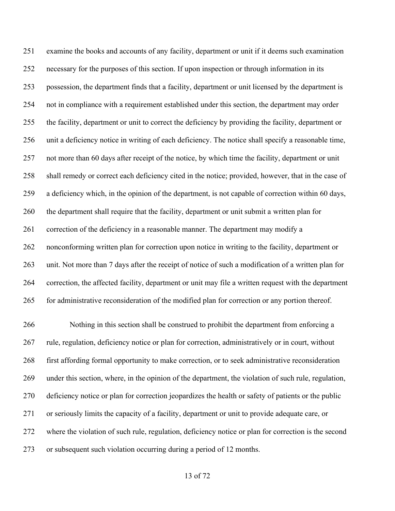examine the books and accounts of any facility, department or unit if it deems such examination necessary for the purposes of this section. If upon inspection or through information in its possession, the department finds that a facility, department or unit licensed by the department is not in compliance with a requirement established under this section, the department may order the facility, department or unit to correct the deficiency by providing the facility, department or unit a deficiency notice in writing of each deficiency. The notice shall specify a reasonable time, not more than 60 days after receipt of the notice, by which time the facility, department or unit shall remedy or correct each deficiency cited in the notice; provided, however, that in the case of a deficiency which, in the opinion of the department, is not capable of correction within 60 days, the department shall require that the facility, department or unit submit a written plan for correction of the deficiency in a reasonable manner. The department may modify a nonconforming written plan for correction upon notice in writing to the facility, department or unit. Not more than 7 days after the receipt of notice of such a modification of a written plan for correction, the affected facility, department or unit may file a written request with the department for administrative reconsideration of the modified plan for correction or any portion thereof.

 Nothing in this section shall be construed to prohibit the department from enforcing a rule, regulation, deficiency notice or plan for correction, administratively or in court, without first affording formal opportunity to make correction, or to seek administrative reconsideration under this section, where, in the opinion of the department, the violation of such rule, regulation, deficiency notice or plan for correction jeopardizes the health or safety of patients or the public or seriously limits the capacity of a facility, department or unit to provide adequate care, or where the violation of such rule, regulation, deficiency notice or plan for correction is the second or subsequent such violation occurring during a period of 12 months.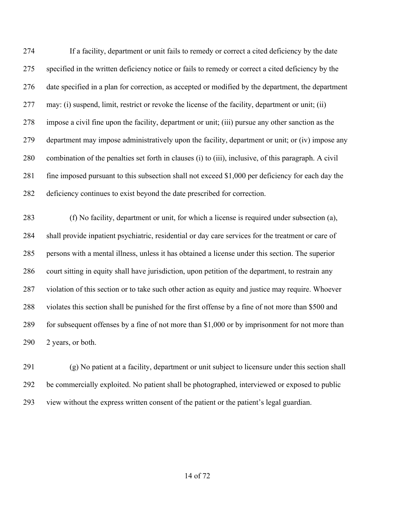If a facility, department or unit fails to remedy or correct a cited deficiency by the date specified in the written deficiency notice or fails to remedy or correct a cited deficiency by the date specified in a plan for correction, as accepted or modified by the department, the department may: (i) suspend, limit, restrict or revoke the license of the facility, department or unit; (ii) impose a civil fine upon the facility, department or unit; (iii) pursue any other sanction as the department may impose administratively upon the facility, department or unit; or (iv) impose any combination of the penalties set forth in clauses (i) to (iii), inclusive, of this paragraph. A civil fine imposed pursuant to this subsection shall not exceed \$1,000 per deficiency for each day the deficiency continues to exist beyond the date prescribed for correction.

 (f) No facility, department or unit, for which a license is required under subsection (a), shall provide inpatient psychiatric, residential or day care services for the treatment or care of persons with a mental illness, unless it has obtained a license under this section. The superior court sitting in equity shall have jurisdiction, upon petition of the department, to restrain any violation of this section or to take such other action as equity and justice may require. Whoever violates this section shall be punished for the first offense by a fine of not more than \$500 and for subsequent offenses by a fine of not more than \$1,000 or by imprisonment for not more than 2 years, or both.

 (g) No patient at a facility, department or unit subject to licensure under this section shall be commercially exploited. No patient shall be photographed, interviewed or exposed to public view without the express written consent of the patient or the patient's legal guardian.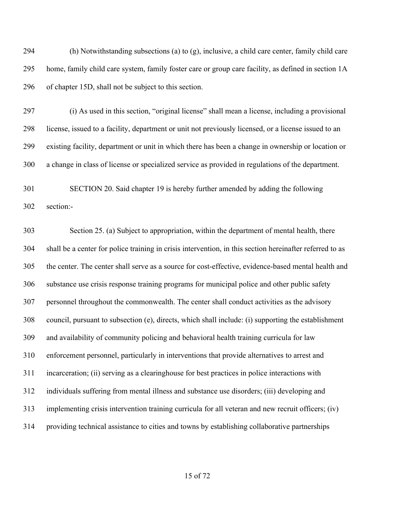(h) Notwithstanding subsections (a) to (g), inclusive, a child care center, family child care home, family child care system, family foster care or group care facility, as defined in section 1A of chapter 15D, shall not be subject to this section.

 (i) As used in this section, "original license" shall mean a license, including a provisional license, issued to a facility, department or unit not previously licensed, or a license issued to an existing facility, department or unit in which there has been a change in ownership or location or a change in class of license or specialized service as provided in regulations of the department.

 SECTION 20. Said chapter 19 is hereby further amended by adding the following section:-

 Section 25. (a) Subject to appropriation, within the department of mental health, there shall be a center for police training in crisis intervention, in this section hereinafter referred to as the center. The center shall serve as a source for cost-effective, evidence-based mental health and substance use crisis response training programs for municipal police and other public safety personnel throughout the commonwealth. The center shall conduct activities as the advisory council, pursuant to subsection (e), directs, which shall include: (i) supporting the establishment and availability of community policing and behavioral health training curricula for law enforcement personnel, particularly in interventions that provide alternatives to arrest and incarceration; (ii) serving as a clearinghouse for best practices in police interactions with individuals suffering from mental illness and substance use disorders; (iii) developing and implementing crisis intervention training curricula for all veteran and new recruit officers; (iv) providing technical assistance to cities and towns by establishing collaborative partnerships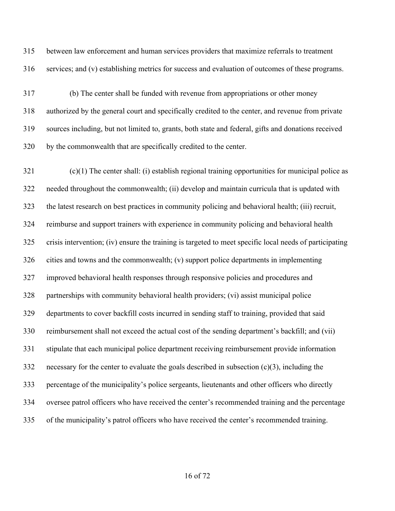between law enforcement and human services providers that maximize referrals to treatment services; and (v) establishing metrics for success and evaluation of outcomes of these programs.

 (b) The center shall be funded with revenue from appropriations or other money authorized by the general court and specifically credited to the center, and revenue from private sources including, but not limited to, grants, both state and federal, gifts and donations received by the commonwealth that are specifically credited to the center.

 (c)(1) The center shall: (i) establish regional training opportunities for municipal police as needed throughout the commonwealth; (ii) develop and maintain curricula that is updated with the latest research on best practices in community policing and behavioral health; (iii) recruit, reimburse and support trainers with experience in community policing and behavioral health crisis intervention; (iv) ensure the training is targeted to meet specific local needs of participating cities and towns and the commonwealth; (v) support police departments in implementing improved behavioral health responses through responsive policies and procedures and partnerships with community behavioral health providers; (vi) assist municipal police departments to cover backfill costs incurred in sending staff to training, provided that said reimbursement shall not exceed the actual cost of the sending department's backfill; and (vii) stipulate that each municipal police department receiving reimbursement provide information necessary for the center to evaluate the goals described in subsection (c)(3), including the percentage of the municipality's police sergeants, lieutenants and other officers who directly oversee patrol officers who have received the center's recommended training and the percentage of the municipality's patrol officers who have received the center's recommended training.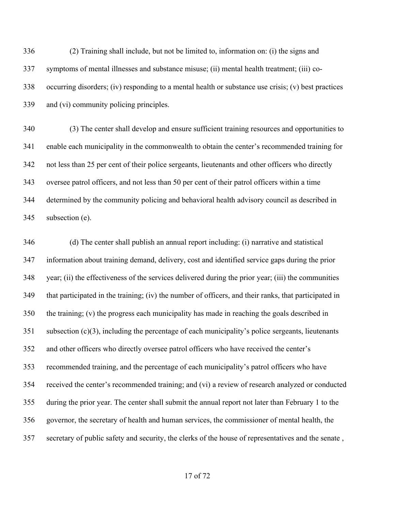(2) Training shall include, but not be limited to, information on: (i) the signs and symptoms of mental illnesses and substance misuse; (ii) mental health treatment; (iii) co- occurring disorders; (iv) responding to a mental health or substance use crisis; (v) best practices and (vi) community policing principles.

 (3) The center shall develop and ensure sufficient training resources and opportunities to enable each municipality in the commonwealth to obtain the center's recommended training for not less than 25 per cent of their police sergeants, lieutenants and other officers who directly oversee patrol officers, and not less than 50 per cent of their patrol officers within a time determined by the community policing and behavioral health advisory council as described in subsection (e).

 (d) The center shall publish an annual report including: (i) narrative and statistical information about training demand, delivery, cost and identified service gaps during the prior year; (ii) the effectiveness of the services delivered during the prior year; (iii) the communities that participated in the training; (iv) the number of officers, and their ranks, that participated in the training; (v) the progress each municipality has made in reaching the goals described in subsection (c)(3), including the percentage of each municipality's police sergeants, lieutenants and other officers who directly oversee patrol officers who have received the center's recommended training, and the percentage of each municipality's patrol officers who have received the center's recommended training; and (vi) a review of research analyzed or conducted during the prior year. The center shall submit the annual report not later than February 1 to the governor, the secretary of health and human services, the commissioner of mental health, the secretary of public safety and security, the clerks of the house of representatives and the senate ,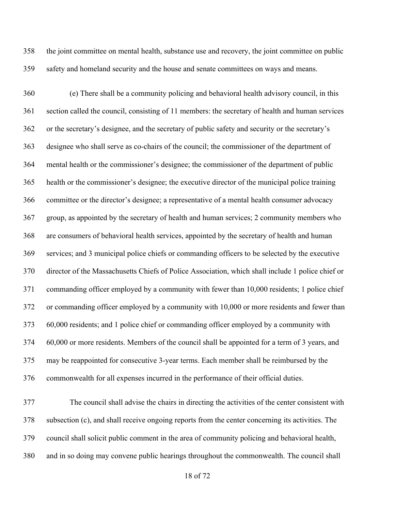the joint committee on mental health, substance use and recovery, the joint committee on public safety and homeland security and the house and senate committees on ways and means.

 (e) There shall be a community policing and behavioral health advisory council, in this section called the council, consisting of 11 members: the secretary of health and human services or the secretary's designee, and the secretary of public safety and security or the secretary's designee who shall serve as co-chairs of the council; the commissioner of the department of mental health or the commissioner's designee; the commissioner of the department of public health or the commissioner's designee; the executive director of the municipal police training committee or the director's designee; a representative of a mental health consumer advocacy group, as appointed by the secretary of health and human services; 2 community members who are consumers of behavioral health services, appointed by the secretary of health and human services; and 3 municipal police chiefs or commanding officers to be selected by the executive director of the Massachusetts Chiefs of Police Association, which shall include 1 police chief or commanding officer employed by a community with fewer than 10,000 residents; 1 police chief or commanding officer employed by a community with 10,000 or more residents and fewer than 60,000 residents; and 1 police chief or commanding officer employed by a community with 60,000 or more residents. Members of the council shall be appointed for a term of 3 years, and may be reappointed for consecutive 3-year terms. Each member shall be reimbursed by the commonwealth for all expenses incurred in the performance of their official duties.

 The council shall advise the chairs in directing the activities of the center consistent with subsection (c), and shall receive ongoing reports from the center concerning its activities. The council shall solicit public comment in the area of community policing and behavioral health, and in so doing may convene public hearings throughout the commonwealth. The council shall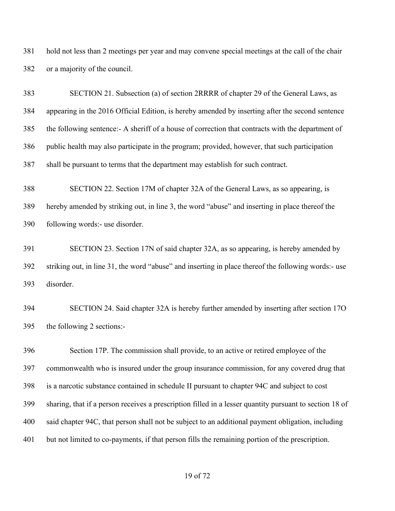hold not less than 2 meetings per year and may convene special meetings at the call of the chair or a majority of the council.

 SECTION 21. Subsection (a) of section 2RRRR of chapter 29 of the General Laws, as appearing in the 2016 Official Edition, is hereby amended by inserting after the second sentence the following sentence:- A sheriff of a house of correction that contracts with the department of public health may also participate in the program; provided, however, that such participation shall be pursuant to terms that the department may establish for such contract.

 SECTION 22. Section 17M of chapter 32A of the General Laws, as so appearing, is hereby amended by striking out, in line 3, the word "abuse" and inserting in place thereof the following words:- use disorder.

 SECTION 23. Section 17N of said chapter 32A, as so appearing, is hereby amended by striking out, in line 31, the word "abuse" and inserting in place thereof the following words:- use disorder.

 SECTION 24. Said chapter 32A is hereby further amended by inserting after section 17O the following 2 sections:-

 Section 17P. The commission shall provide, to an active or retired employee of the commonwealth who is insured under the group insurance commission, for any covered drug that is a narcotic substance contained in schedule II pursuant to chapter 94C and subject to cost sharing, that if a person receives a prescription filled in a lesser quantity pursuant to section 18 of said chapter 94C, that person shall not be subject to an additional payment obligation, including but not limited to co-payments, if that person fills the remaining portion of the prescription.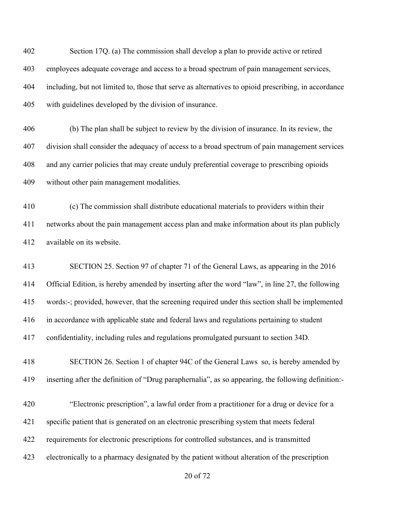Section 17Q. (a) The commission shall develop a plan to provide active or retired employees adequate coverage and access to a broad spectrum of pain management services, including, but not limited to, those that serve as alternatives to opioid prescribing, in accordance with guidelines developed by the division of insurance.

 (b) The plan shall be subject to review by the division of insurance. In its review, the division shall consider the adequacy of access to a broad spectrum of pain management services and any carrier policies that may create unduly preferential coverage to prescribing opioids without other pain management modalities.

 (c) The commission shall distribute educational materials to providers within their networks about the pain management access plan and make information about its plan publicly available on its website.

 SECTION 25. Section 97 of chapter 71 of the General Laws, as appearing in the 2016 Official Edition, is hereby amended by inserting after the word "law", in line 27, the following words:-; provided, however, that the screening required under this section shall be implemented in accordance with applicable state and federal laws and regulations pertaining to student confidentiality, including rules and regulations promulgated pursuant to section 34D.

 SECTION 26. Section 1 of chapter 94C of the General Laws so, is hereby amended by inserting after the definition of "Drug paraphernalia", as so appearing, the following definition:-

 "Electronic prescription", a lawful order from a practitioner for a drug or device for a specific patient that is generated on an electronic prescribing system that meets federal requirements for electronic prescriptions for controlled substances, and is transmitted electronically to a pharmacy designated by the patient without alteration of the prescription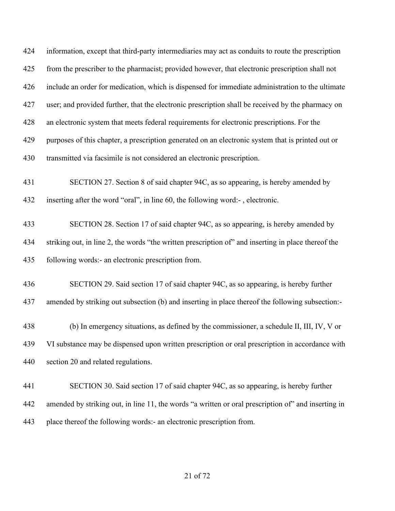information, except that third-party intermediaries may act as conduits to route the prescription from the prescriber to the pharmacist; provided however, that electronic prescription shall not include an order for medication, which is dispensed for immediate administration to the ultimate user; and provided further, that the electronic prescription shall be received by the pharmacy on an electronic system that meets federal requirements for electronic prescriptions. For the purposes of this chapter, a prescription generated on an electronic system that is printed out or transmitted via facsimile is not considered an electronic prescription. SECTION 27. Section 8 of said chapter 94C, as so appearing, is hereby amended by inserting after the word "oral", in line 60, the following word:- , electronic. SECTION 28. Section 17 of said chapter 94C, as so appearing, is hereby amended by striking out, in line 2, the words "the written prescription of" and inserting in place thereof the following words:- an electronic prescription from. SECTION 29. Said section 17 of said chapter 94C, as so appearing, is hereby further amended by striking out subsection (b) and inserting in place thereof the following subsection:- (b) In emergency situations, as defined by the commissioner, a schedule II, III, IV, V or VI substance may be dispensed upon written prescription or oral prescription in accordance with section 20 and related regulations. SECTION 30. Said section 17 of said chapter 94C, as so appearing, is hereby further amended by striking out, in line 11, the words "a written or oral prescription of" and inserting in place thereof the following words:- an electronic prescription from.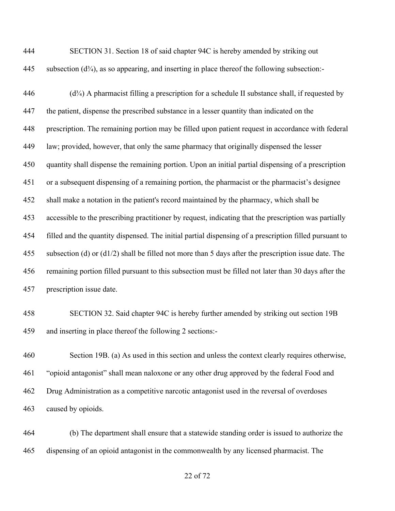| 444 | SECTION 31. Section 18 of said chapter 94C is hereby amended by striking out                     |
|-----|--------------------------------------------------------------------------------------------------|
| 445 | subsection $(d^3/4)$ , as so appearing, and inserting in place thereof the following subsection: |

 (d<sup>3</sup>/<sub>4</sub>) A pharmacist filling a prescription for a schedule II substance shall, if requested by the patient, dispense the prescribed substance in a lesser quantity than indicated on the prescription. The remaining portion may be filled upon patient request in accordance with federal law; provided, however, that only the same pharmacy that originally dispensed the lesser quantity shall dispense the remaining portion. Upon an initial partial dispensing of a prescription or a subsequent dispensing of a remaining portion, the pharmacist or the pharmacist's designee shall make a notation in the patient's record maintained by the pharmacy, which shall be accessible to the prescribing practitioner by request, indicating that the prescription was partially filled and the quantity dispensed. The initial partial dispensing of a prescription filled pursuant to subsection (d) or (d1/2) shall be filled not more than 5 days after the prescription issue date. The remaining portion filled pursuant to this subsection must be filled not later than 30 days after the prescription issue date.

 SECTION 32. Said chapter 94C is hereby further amended by striking out section 19B and inserting in place thereof the following 2 sections:-

 Section 19B. (a) As used in this section and unless the context clearly requires otherwise, "opioid antagonist" shall mean naloxone or any other drug approved by the federal Food and Drug Administration as a competitive narcotic antagonist used in the reversal of overdoses caused by opioids.

 (b) The department shall ensure that a statewide standing order is issued to authorize the dispensing of an opioid antagonist in the commonwealth by any licensed pharmacist. The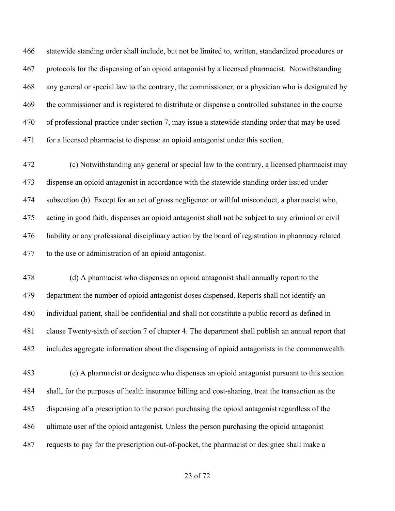statewide standing order shall include, but not be limited to, written, standardized procedures or protocols for the dispensing of an opioid antagonist by a licensed pharmacist. Notwithstanding any general or special law to the contrary, the commissioner, or a physician who is designated by the commissioner and is registered to distribute or dispense a controlled substance in the course of professional practice under section 7, may issue a statewide standing order that may be used for a licensed pharmacist to dispense an opioid antagonist under this section.

 (c) Notwithstanding any general or special law to the contrary, a licensed pharmacist may dispense an opioid antagonist in accordance with the statewide standing order issued under subsection (b). Except for an act of gross negligence or willful misconduct, a pharmacist who, acting in good faith, dispenses an opioid antagonist shall not be subject to any criminal or civil liability or any professional disciplinary action by the board of registration in pharmacy related to the use or administration of an opioid antagonist.

 (d) A pharmacist who dispenses an opioid antagonist shall annually report to the department the number of opioid antagonist doses dispensed. Reports shall not identify an individual patient, shall be confidential and shall not constitute a public record as defined in clause Twenty-sixth of section 7 of chapter 4. The department shall publish an annual report that includes aggregate information about the dispensing of opioid antagonists in the commonwealth.

 (e) A pharmacist or designee who dispenses an opioid antagonist pursuant to this section shall, for the purposes of health insurance billing and cost-sharing, treat the transaction as the dispensing of a prescription to the person purchasing the opioid antagonist regardless of the ultimate user of the opioid antagonist. Unless the person purchasing the opioid antagonist requests to pay for the prescription out-of-pocket, the pharmacist or designee shall make a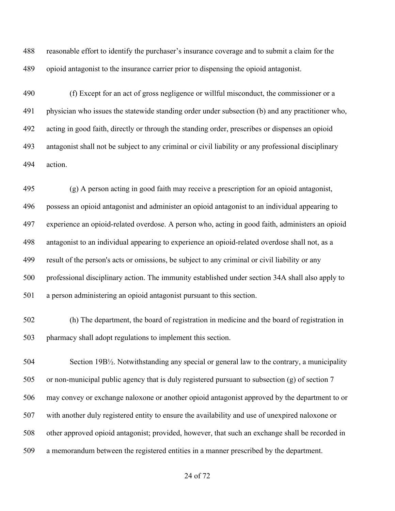reasonable effort to identify the purchaser's insurance coverage and to submit a claim for the opioid antagonist to the insurance carrier prior to dispensing the opioid antagonist.

 (f) Except for an act of gross negligence or willful misconduct, the commissioner or a physician who issues the statewide standing order under subsection (b) and any practitioner who, acting in good faith, directly or through the standing order, prescribes or dispenses an opioid antagonist shall not be subject to any criminal or civil liability or any professional disciplinary action.

 (g) A person acting in good faith may receive a prescription for an opioid antagonist, possess an opioid antagonist and administer an opioid antagonist to an individual appearing to experience an opioid-related overdose. A person who, acting in good faith, administers an opioid antagonist to an individual appearing to experience an opioid-related overdose shall not, as a result of the person's acts or omissions, be subject to any criminal or civil liability or any professional disciplinary action. The immunity established under section 34A shall also apply to a person administering an opioid antagonist pursuant to this section.

 (h) The department, the board of registration in medicine and the board of registration in pharmacy shall adopt regulations to implement this section.

 Section 19B½. Notwithstanding any special or general law to the contrary, a municipality or non-municipal public agency that is duly registered pursuant to subsection (g) of section 7 may convey or exchange naloxone or another opioid antagonist approved by the department to or with another duly registered entity to ensure the availability and use of unexpired naloxone or other approved opioid antagonist; provided, however, that such an exchange shall be recorded in a memorandum between the registered entities in a manner prescribed by the department.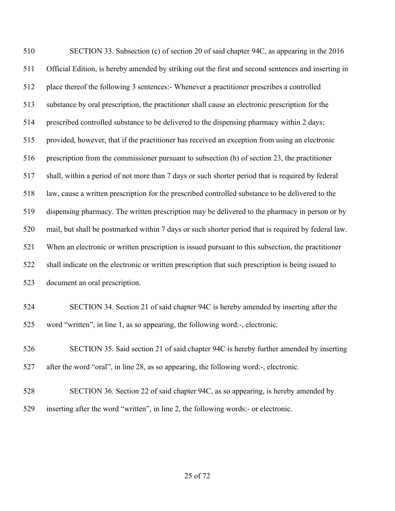SECTION 33. Subsection (c) of section 20 of said chapter 94C, as appearing in the 2016 Official Edition, is hereby amended by striking out the first and second sentences and inserting in place thereof the following 3 sentences:- Whenever a practitioner prescribes a controlled substance by oral prescription, the practitioner shall cause an electronic prescription for the prescribed controlled substance to be delivered to the dispensing pharmacy within 2 days; provided, however, that if the practitioner has received an exception from using an electronic prescription from the commissioner pursuant to subsection (h) of section 23, the practitioner shall, within a period of not more than 7 days or such shorter period that is required by federal law, cause a written prescription for the prescribed controlled substance to be delivered to the dispensing pharmacy. The written prescription may be delivered to the pharmacy in person or by mail, but shall be postmarked within 7 days or such shorter period that is required by federal law. When an electronic or written prescription is issued pursuant to this subsection, the practitioner shall indicate on the electronic or written prescription that such prescription is being issued to document an oral prescription. SECTION 34. Section 21 of said chapter 94C is hereby amended by inserting after the

word "written", in line 1, as so appearing, the following word:-, electronic.

 SECTION 35. Said section 21 of said chapter 94C is hereby further amended by inserting after the word "oral", in line 28, as so appearing, the following word:-, electronic.

- SECTION 36. Section 22 of said chapter 94C, as so appearing, is hereby amended by
- inserting after the word "written", in line 2, the following words:- or electronic.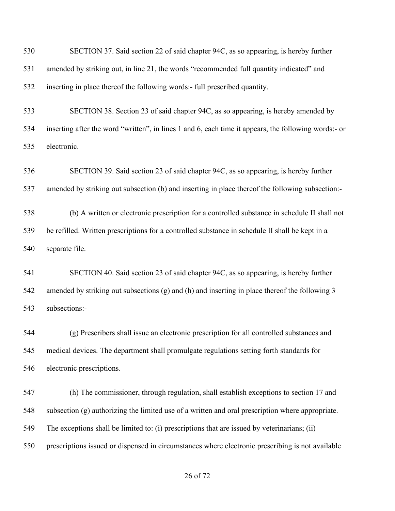| 530 | SECTION 37. Said section 22 of said chapter 94C, as so appearing, is hereby further                  |
|-----|------------------------------------------------------------------------------------------------------|
| 531 | amended by striking out, in line 21, the words "recommended full quantity indicated" and             |
| 532 | inserting in place thereof the following words:- full prescribed quantity.                           |
| 533 | SECTION 38. Section 23 of said chapter 94C, as so appearing, is hereby amended by                    |
| 534 | inserting after the word "written", in lines 1 and 6, each time it appears, the following words:- or |
| 535 | electronic.                                                                                          |
| 536 | SECTION 39. Said section 23 of said chapter 94C, as so appearing, is hereby further                  |
| 537 | amended by striking out subsection (b) and inserting in place thereof the following subsection:-     |
| 538 | (b) A written or electronic prescription for a controlled substance in schedule II shall not         |
| 539 | be refilled. Written prescriptions for a controlled substance in schedule II shall be kept in a      |
| 540 | separate file.                                                                                       |
| 541 | SECTION 40. Said section 23 of said chapter 94C, as so appearing, is hereby further                  |
| 542 | amended by striking out subsections (g) and (h) and inserting in place thereof the following 3       |
| 543 | subsections:-                                                                                        |
| 544 | (g) Prescribers shall issue an electronic prescription for all controlled substances and             |
| 545 | medical devices. The department shall promulgate regulations setting forth standards for             |
| 546 | electronic prescriptions.                                                                            |
| 547 | (h) The commissioner, through regulation, shall establish exceptions to section 17 and               |
| 548 | subsection (g) authorizing the limited use of a written and oral prescription where appropriate.     |
| 549 | The exceptions shall be limited to: (i) prescriptions that are issued by veterinarians; (ii)         |
| 550 | prescriptions issued or dispensed in circumstances where electronic prescribing is not available     |
|     |                                                                                                      |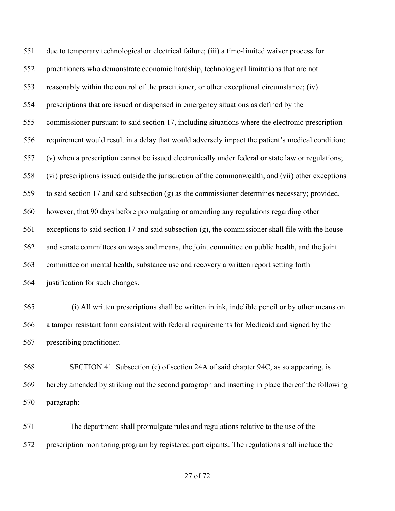due to temporary technological or electrical failure; (iii) a time-limited waiver process for practitioners who demonstrate economic hardship, technological limitations that are not reasonably within the control of the practitioner, or other exceptional circumstance; (iv) prescriptions that are issued or dispensed in emergency situations as defined by the commissioner pursuant to said section 17, including situations where the electronic prescription requirement would result in a delay that would adversely impact the patient's medical condition; (v) when a prescription cannot be issued electronically under federal or state law or regulations; (vi) prescriptions issued outside the jurisdiction of the commonwealth; and (vii) other exceptions to said section 17 and said subsection (g) as the commissioner determines necessary; provided, however, that 90 days before promulgating or amending any regulations regarding other exceptions to said section 17 and said subsection (g), the commissioner shall file with the house and senate committees on ways and means, the joint committee on public health, and the joint committee on mental health, substance use and recovery a written report setting forth justification for such changes.

 (i) All written prescriptions shall be written in ink, indelible pencil or by other means on a tamper resistant form consistent with federal requirements for Medicaid and signed by the prescribing practitioner.

 SECTION 41. Subsection (c) of section 24A of said chapter 94C, as so appearing, is hereby amended by striking out the second paragraph and inserting in place thereof the following paragraph:-

 The department shall promulgate rules and regulations relative to the use of the prescription monitoring program by registered participants. The regulations shall include the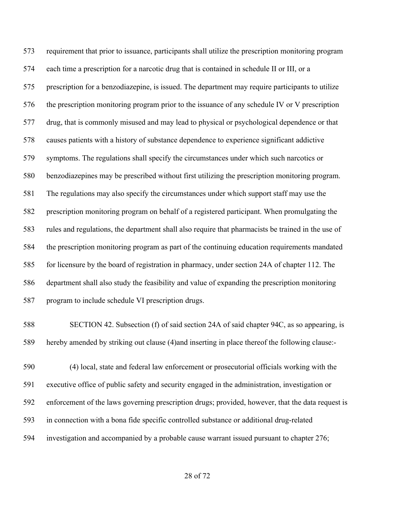requirement that prior to issuance, participants shall utilize the prescription monitoring program each time a prescription for a narcotic drug that is contained in schedule II or III, or a prescription for a benzodiazepine, is issued. The department may require participants to utilize the prescription monitoring program prior to the issuance of any schedule IV or V prescription drug, that is commonly misused and may lead to physical or psychological dependence or that causes patients with a history of substance dependence to experience significant addictive symptoms. The regulations shall specify the circumstances under which such narcotics or benzodiazepines may be prescribed without first utilizing the prescription monitoring program. The regulations may also specify the circumstances under which support staff may use the prescription monitoring program on behalf of a registered participant. When promulgating the rules and regulations, the department shall also require that pharmacists be trained in the use of the prescription monitoring program as part of the continuing education requirements mandated for licensure by the board of registration in pharmacy, under section 24A of chapter 112. The department shall also study the feasibility and value of expanding the prescription monitoring program to include schedule VI prescription drugs.

 SECTION 42. Subsection (f) of said section 24A of said chapter 94C, as so appearing, is hereby amended by striking out clause (4)and inserting in place thereof the following clause:-

 (4) local, state and federal law enforcement or prosecutorial officials working with the executive office of public safety and security engaged in the administration, investigation or enforcement of the laws governing prescription drugs; provided, however, that the data request is in connection with a bona fide specific controlled substance or additional drug-related investigation and accompanied by a probable cause warrant issued pursuant to chapter 276;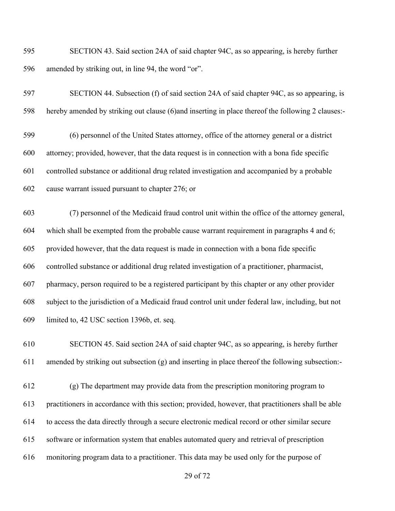SECTION 43. Said section 24A of said chapter 94C, as so appearing, is hereby further amended by striking out, in line 94, the word "or".

# SECTION 44. Subsection (f) of said section 24A of said chapter 94C, as so appearing, is hereby amended by striking out clause (6)and inserting in place thereof the following 2 clauses:-

 (6) personnel of the United States attorney, office of the attorney general or a district attorney; provided, however, that the data request is in connection with a bona fide specific controlled substance or additional drug related investigation and accompanied by a probable cause warrant issued pursuant to chapter 276; or

 (7) personnel of the Medicaid fraud control unit within the office of the attorney general, which shall be exempted from the probable cause warrant requirement in paragraphs 4 and 6; provided however, that the data request is made in connection with a bona fide specific controlled substance or additional drug related investigation of a practitioner, pharmacist, pharmacy, person required to be a registered participant by this chapter or any other provider subject to the jurisdiction of a Medicaid fraud control unit under federal law, including, but not limited to, 42 USC section 1396b, et. seq.

 SECTION 45. Said section 24A of said chapter 94C, as so appearing, is hereby further amended by striking out subsection (g) and inserting in place thereof the following subsection:-

 (g) The department may provide data from the prescription monitoring program to practitioners in accordance with this section; provided, however, that practitioners shall be able to access the data directly through a secure electronic medical record or other similar secure software or information system that enables automated query and retrieval of prescription monitoring program data to a practitioner. This data may be used only for the purpose of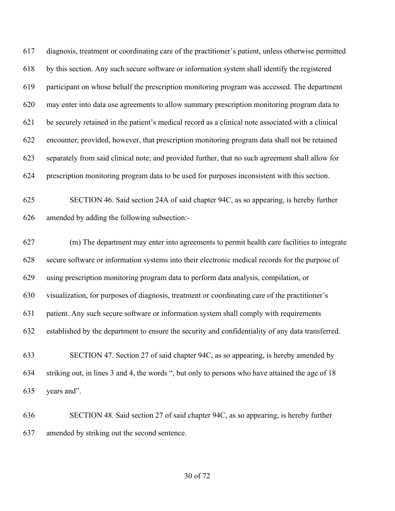diagnosis, treatment or coordinating care of the practitioner's patient, unless otherwise permitted by this section. Any such secure software or information system shall identify the registered participant on whose behalf the prescription monitoring program was accessed. The department may enter into data use agreements to allow summary prescription monitoring program data to be securely retained in the patient's medical record as a clinical note associated with a clinical encounter; provided, however, that prescription monitoring program data shall not be retained separately from said clinical note; and provided further, that no such agreement shall allow for prescription monitoring program data to be used for purposes inconsistent with this section.

 SECTION 46. Said section 24A of said chapter 94C, as so appearing, is hereby further amended by adding the following subsection:-

 (m) The department may enter into agreements to permit health care facilities to integrate secure software or information systems into their electronic medical records for the purpose of using prescription monitoring program data to perform data analysis, compilation, or visualization, for purposes of diagnosis, treatment or coordinating care of the practitioner's patient. Any such secure software or information system shall comply with requirements established by the department to ensure the security and confidentiality of any data transferred. SECTION 47. Section 27 of said chapter 94C, as so appearing, is hereby amended by

 striking out, in lines 3 and 4, the words ", but only to persons who have attained the age of 18 years and".

 SECTION 48. Said section 27 of said chapter 94C, as so appearing, is hereby further amended by striking out the second sentence.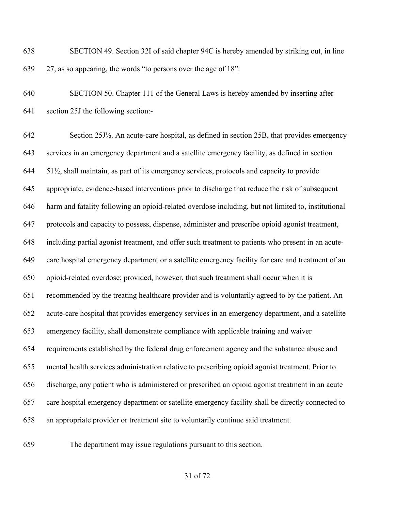SECTION 49. Section 32I of said chapter 94C is hereby amended by striking out, in line 27, as so appearing, the words "to persons over the age of 18".

 SECTION 50. Chapter 111 of the General Laws is hereby amended by inserting after section 25J the following section:-

 Section 25J½. An acute-care hospital, as defined in section 25B, that provides emergency services in an emergency department and a satellite emergency facility, as defined in section 51½, shall maintain, as part of its emergency services, protocols and capacity to provide appropriate, evidence-based interventions prior to discharge that reduce the risk of subsequent harm and fatality following an opioid-related overdose including, but not limited to, institutional protocols and capacity to possess, dispense, administer and prescribe opioid agonist treatment, including partial agonist treatment, and offer such treatment to patients who present in an acute- care hospital emergency department or a satellite emergency facility for care and treatment of an opioid-related overdose; provided, however, that such treatment shall occur when it is recommended by the treating healthcare provider and is voluntarily agreed to by the patient. An acute-care hospital that provides emergency services in an emergency department, and a satellite emergency facility, shall demonstrate compliance with applicable training and waiver requirements established by the federal drug enforcement agency and the substance abuse and mental health services administration relative to prescribing opioid agonist treatment. Prior to discharge, any patient who is administered or prescribed an opioid agonist treatment in an acute care hospital emergency department or satellite emergency facility shall be directly connected to an appropriate provider or treatment site to voluntarily continue said treatment.

The department may issue regulations pursuant to this section.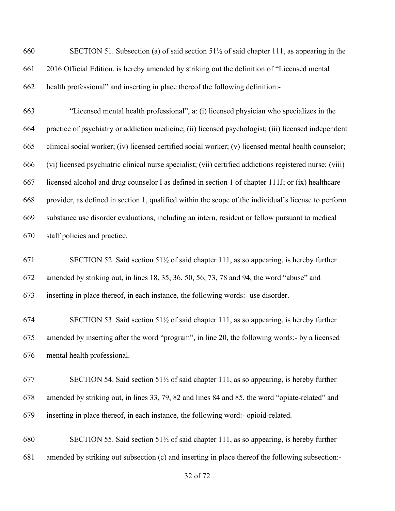SECTION 51. Subsection (a) of said section 51½ of said chapter 111, as appearing in the 2016 Official Edition, is hereby amended by striking out the definition of "Licensed mental health professional" and inserting in place thereof the following definition:-

 "Licensed mental health professional", a: (i) licensed physician who specializes in the practice of psychiatry or addiction medicine; (ii) licensed psychologist; (iii) licensed independent clinical social worker; (iv) licensed certified social worker; (v) licensed mental health counselor; (vi) licensed psychiatric clinical nurse specialist; (vii) certified addictions registered nurse; (viii) licensed alcohol and drug counselor I as defined in section 1 of chapter 111J; or (ix) healthcare provider, as defined in section 1, qualified within the scope of the individual's license to perform substance use disorder evaluations, including an intern, resident or fellow pursuant to medical staff policies and practice.

 SECTION 52. Said section 51½ of said chapter 111, as so appearing, is hereby further amended by striking out, in lines 18, 35, 36, 50, 56, 73, 78 and 94, the word "abuse" and inserting in place thereof, in each instance, the following words:- use disorder.

 SECTION 53. Said section 51½ of said chapter 111, as so appearing, is hereby further amended by inserting after the word "program", in line 20, the following words:- by a licensed mental health professional.

 SECTION 54. Said section 51½ of said chapter 111, as so appearing, is hereby further amended by striking out, in lines 33, 79, 82 and lines 84 and 85, the word "opiate-related" and inserting in place thereof, in each instance, the following word:- opioid-related.

 SECTION 55. Said section 51½ of said chapter 111, as so appearing, is hereby further amended by striking out subsection (c) and inserting in place thereof the following subsection:-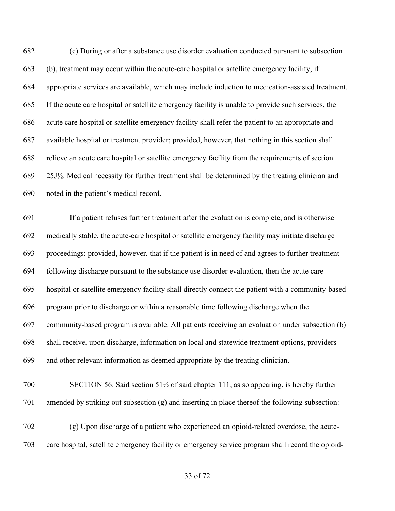(c) During or after a substance use disorder evaluation conducted pursuant to subsection (b), treatment may occur within the acute-care hospital or satellite emergency facility, if appropriate services are available, which may include induction to medication-assisted treatment. If the acute care hospital or satellite emergency facility is unable to provide such services, the acute care hospital or satellite emergency facility shall refer the patient to an appropriate and available hospital or treatment provider; provided, however, that nothing in this section shall relieve an acute care hospital or satellite emergency facility from the requirements of section 25J½. Medical necessity for further treatment shall be determined by the treating clinician and noted in the patient's medical record.

 If a patient refuses further treatment after the evaluation is complete, and is otherwise medically stable, the acute-care hospital or satellite emergency facility may initiate discharge proceedings; provided, however, that if the patient is in need of and agrees to further treatment following discharge pursuant to the substance use disorder evaluation, then the acute care hospital or satellite emergency facility shall directly connect the patient with a community-based program prior to discharge or within a reasonable time following discharge when the community-based program is available. All patients receiving an evaluation under subsection (b) shall receive, upon discharge, information on local and statewide treatment options, providers and other relevant information as deemed appropriate by the treating clinician.

# SECTION 56. Said section 51½ of said chapter 111, as so appearing, is hereby further amended by striking out subsection (g) and inserting in place thereof the following subsection:-

 (g) Upon discharge of a patient who experienced an opioid-related overdose, the acute-care hospital, satellite emergency facility or emergency service program shall record the opioid-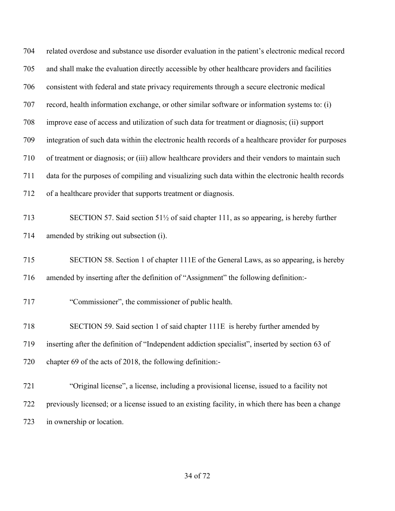| 704 | related overdose and substance use disorder evaluation in the patient's electronic medical record               |
|-----|-----------------------------------------------------------------------------------------------------------------|
| 705 | and shall make the evaluation directly accessible by other healthcare providers and facilities                  |
| 706 | consistent with federal and state privacy requirements through a secure electronic medical                      |
| 707 | record, health information exchange, or other similar software or information systems to: (i)                   |
| 708 | improve ease of access and utilization of such data for treatment or diagnosis; (ii) support                    |
| 709 | integration of such data within the electronic health records of a healthcare provider for purposes             |
| 710 | of treatment or diagnosis; or (iii) allow healthcare providers and their vendors to maintain such               |
| 711 | data for the purposes of compiling and visualizing such data within the electronic health records               |
| 712 | of a healthcare provider that supports treatment or diagnosis.                                                  |
| 713 | SECTION 57. Said section 51 <sup>1</sup> / <sub>2</sub> of said chapter 111, as so appearing, is hereby further |
| 714 | amended by striking out subsection (i).                                                                         |
| 715 | SECTION 58. Section 1 of chapter 111E of the General Laws, as so appearing, is hereby                           |
| 716 | amended by inserting after the definition of "Assignment" the following definition:-                            |
| 717 | "Commissioner", the commissioner of public health.                                                              |
| 718 | SECTION 59. Said section 1 of said chapter 111E is hereby further amended by                                    |
| 719 | inserting after the definition of "Independent addiction specialist", inserted by section 63 of                 |
| 720 | chapter 69 of the acts of 2018, the following definition:-                                                      |
| 721 | "Original license", a license, including a provisional license, issued to a facility not                        |
| 722 | previously licensed; or a license issued to an existing facility, in which there has been a change              |
| 723 | in ownership or location.                                                                                       |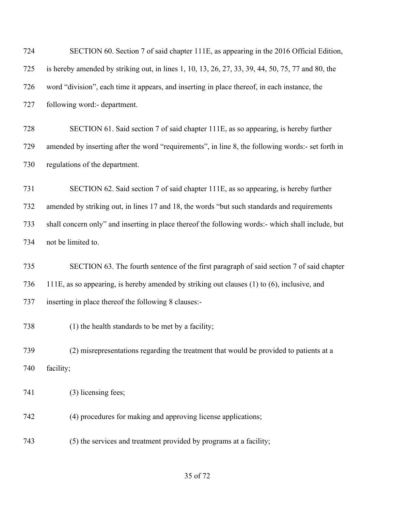| 724 | SECTION 60. Section 7 of said chapter 111E, as appearing in the 2016 Official Edition,            |
|-----|---------------------------------------------------------------------------------------------------|
| 725 | is hereby amended by striking out, in lines 1, 10, 13, 26, 27, 33, 39, 44, 50, 75, 77 and 80, the |
| 726 | word "division", each time it appears, and inserting in place thereof, in each instance, the      |
| 727 | following word:- department.                                                                      |
| 728 | SECTION 61. Said section 7 of said chapter 111E, as so appearing, is hereby further               |
| 729 | amended by inserting after the word "requirements", in line 8, the following words:- set forth in |
| 730 | regulations of the department.                                                                    |
| 731 | SECTION 62. Said section 7 of said chapter 111E, as so appearing, is hereby further               |
| 732 | amended by striking out, in lines 17 and 18, the words "but such standards and requirements       |
| 733 | shall concern only" and inserting in place thereof the following words:- which shall include, but |
| 734 | not be limited to.                                                                                |
| 735 | SECTION 63. The fourth sentence of the first paragraph of said section 7 of said chapter          |
| 736 | 111E, as so appearing, is hereby amended by striking out clauses (1) to (6), inclusive, and       |
| 737 | inserting in place thereof the following 8 clauses:-                                              |
| 738 | (1) the health standards to be met by a facility;                                                 |
| 739 | (2) misrepresentations regarding the treatment that would be provided to patients at a            |
| 740 | facility;                                                                                         |
| 741 | (3) licensing fees;                                                                               |
| 742 | (4) procedures for making and approving license applications;                                     |
| 743 | (5) the services and treatment provided by programs at a facility;                                |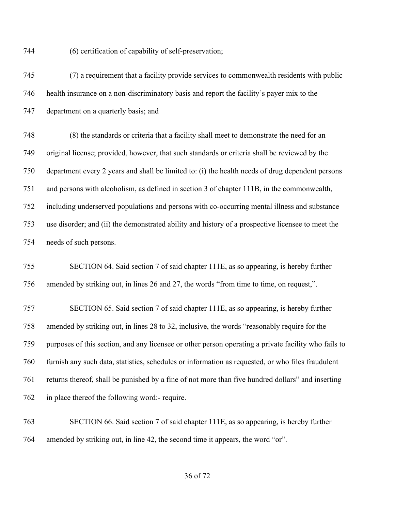(6) certification of capability of self-preservation;

 (7) a requirement that a facility provide services to commonwealth residents with public health insurance on a non-discriminatory basis and report the facility's payer mix to the department on a quarterly basis; and

 (8) the standards or criteria that a facility shall meet to demonstrate the need for an original license; provided, however, that such standards or criteria shall be reviewed by the department every 2 years and shall be limited to: (i) the health needs of drug dependent persons and persons with alcoholism, as defined in section 3 of chapter 111B, in the commonwealth, including underserved populations and persons with co-occurring mental illness and substance use disorder; and (ii) the demonstrated ability and history of a prospective licensee to meet the needs of such persons.

 SECTION 64. Said section 7 of said chapter 111E, as so appearing, is hereby further amended by striking out, in lines 26 and 27, the words "from time to time, on request,".

 SECTION 65. Said section 7 of said chapter 111E, as so appearing, is hereby further amended by striking out, in lines 28 to 32, inclusive, the words "reasonably require for the purposes of this section, and any licensee or other person operating a private facility who fails to furnish any such data, statistics, schedules or information as requested, or who files fraudulent returns thereof, shall be punished by a fine of not more than five hundred dollars" and inserting in place thereof the following word:- require.

 SECTION 66. Said section 7 of said chapter 111E, as so appearing, is hereby further amended by striking out, in line 42, the second time it appears, the word "or".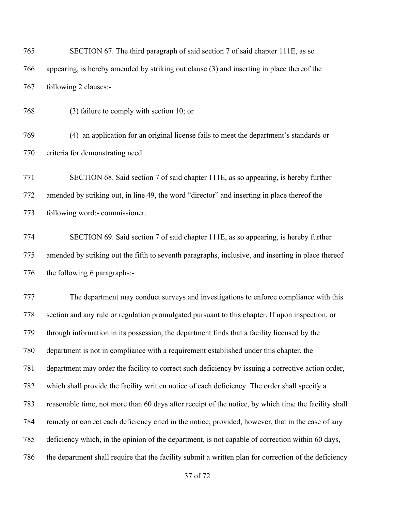SECTION 67. The third paragraph of said section 7 of said chapter 111E, as so appearing, is hereby amended by striking out clause (3) and inserting in place thereof the following 2 clauses:-

(3) failure to comply with section 10; or

 (4) an application for an original license fails to meet the department's standards or criteria for demonstrating need.

 SECTION 68. Said section 7 of said chapter 111E, as so appearing, is hereby further amended by striking out, in line 49, the word "director" and inserting in place thereof the following word:- commissioner.

 SECTION 69. Said section 7 of said chapter 111E, as so appearing, is hereby further amended by striking out the fifth to seventh paragraphs, inclusive, and inserting in place thereof the following 6 paragraphs:-

 The department may conduct surveys and investigations to enforce compliance with this section and any rule or regulation promulgated pursuant to this chapter. If upon inspection, or through information in its possession, the department finds that a facility licensed by the department is not in compliance with a requirement established under this chapter, the department may order the facility to correct such deficiency by issuing a corrective action order, which shall provide the facility written notice of each deficiency. The order shall specify a reasonable time, not more than 60 days after receipt of the notice, by which time the facility shall remedy or correct each deficiency cited in the notice; provided, however, that in the case of any deficiency which, in the opinion of the department, is not capable of correction within 60 days, the department shall require that the facility submit a written plan for correction of the deficiency

of 72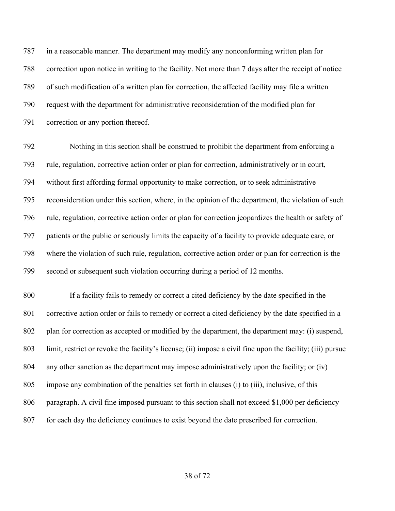in a reasonable manner. The department may modify any nonconforming written plan for correction upon notice in writing to the facility. Not more than 7 days after the receipt of notice of such modification of a written plan for correction, the affected facility may file a written request with the department for administrative reconsideration of the modified plan for correction or any portion thereof.

 Nothing in this section shall be construed to prohibit the department from enforcing a rule, regulation, corrective action order or plan for correction, administratively or in court, without first affording formal opportunity to make correction, or to seek administrative reconsideration under this section, where, in the opinion of the department, the violation of such rule, regulation, corrective action order or plan for correction jeopardizes the health or safety of patients or the public or seriously limits the capacity of a facility to provide adequate care, or where the violation of such rule, regulation, corrective action order or plan for correction is the second or subsequent such violation occurring during a period of 12 months.

 If a facility fails to remedy or correct a cited deficiency by the date specified in the corrective action order or fails to remedy or correct a cited deficiency by the date specified in a plan for correction as accepted or modified by the department, the department may: (i) suspend, limit, restrict or revoke the facility's license; (ii) impose a civil fine upon the facility; (iii) pursue any other sanction as the department may impose administratively upon the facility; or (iv) impose any combination of the penalties set forth in clauses (i) to (iii), inclusive, of this 806 paragraph. A civil fine imposed pursuant to this section shall not exceed \$1,000 per deficiency for each day the deficiency continues to exist beyond the date prescribed for correction.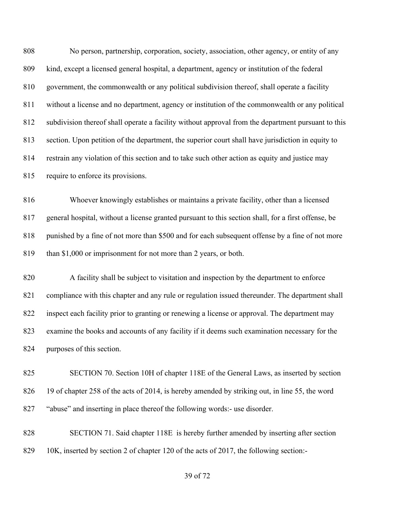No person, partnership, corporation, society, association, other agency, or entity of any kind, except a licensed general hospital, a department, agency or institution of the federal government, the commonwealth or any political subdivision thereof, shall operate a facility without a license and no department, agency or institution of the commonwealth or any political subdivision thereof shall operate a facility without approval from the department pursuant to this section. Upon petition of the department, the superior court shall have jurisdiction in equity to restrain any violation of this section and to take such other action as equity and justice may require to enforce its provisions.

 Whoever knowingly establishes or maintains a private facility, other than a licensed general hospital, without a license granted pursuant to this section shall, for a first offense, be 818 punished by a fine of not more than \$500 and for each subsequent offense by a fine of not more than \$1,000 or imprisonment for not more than 2 years, or both.

 A facility shall be subject to visitation and inspection by the department to enforce compliance with this chapter and any rule or regulation issued thereunder. The department shall inspect each facility prior to granting or renewing a license or approval. The department may examine the books and accounts of any facility if it deems such examination necessary for the purposes of this section.

 SECTION 70. Section 10H of chapter 118E of the General Laws, as inserted by section 19 of chapter 258 of the acts of 2014, is hereby amended by striking out, in line 55, the word "abuse" and inserting in place thereof the following words:- use disorder.

 SECTION 71. Said chapter 118E is hereby further amended by inserting after section 829 10K, inserted by section 2 of chapter 120 of the acts of 2017, the following section:-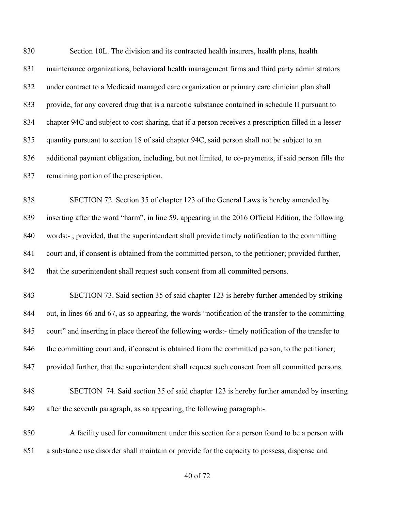Section 10L. The division and its contracted health insurers, health plans, health maintenance organizations, behavioral health management firms and third party administrators under contract to a Medicaid managed care organization or primary care clinician plan shall provide, for any covered drug that is a narcotic substance contained in schedule II pursuant to chapter 94C and subject to cost sharing, that if a person receives a prescription filled in a lesser quantity pursuant to section 18 of said chapter 94C, said person shall not be subject to an additional payment obligation, including, but not limited, to co-payments, if said person fills the remaining portion of the prescription. SECTION 72. Section 35 of chapter 123 of the General Laws is hereby amended by inserting after the word "harm", in line 59, appearing in the 2016 Official Edition, the following words:- ; provided, that the superintendent shall provide timely notification to the committing court and, if consent is obtained from the committed person, to the petitioner; provided further, that the superintendent shall request such consent from all committed persons. SECTION 73. Said section 35 of said chapter 123 is hereby further amended by striking out, in lines 66 and 67, as so appearing, the words "notification of the transfer to the committing court" and inserting in place thereof the following words:- timely notification of the transfer to 846 the committing court and, if consent is obtained from the committed person, to the petitioner; provided further, that the superintendent shall request such consent from all committed persons. SECTION 74. Said section 35 of said chapter 123 is hereby further amended by inserting after the seventh paragraph, as so appearing, the following paragraph:- A facility used for commitment under this section for a person found to be a person with a substance use disorder shall maintain or provide for the capacity to possess, dispense and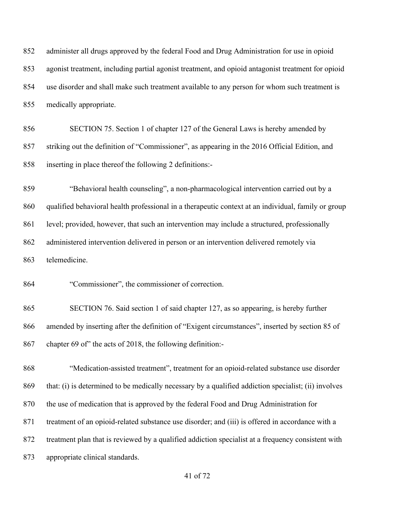administer all drugs approved by the federal Food and Drug Administration for use in opioid agonist treatment, including partial agonist treatment, and opioid antagonist treatment for opioid use disorder and shall make such treatment available to any person for whom such treatment is medically appropriate. SECTION 75. Section 1 of chapter 127 of the General Laws is hereby amended by striking out the definition of "Commissioner", as appearing in the 2016 Official Edition, and inserting in place thereof the following 2 definitions:- "Behavioral health counseling", a non-pharmacological intervention carried out by a qualified behavioral health professional in a therapeutic context at an individual, family or group level; provided, however, that such an intervention may include a structured, professionally administered intervention delivered in person or an intervention delivered remotely via telemedicine. "Commissioner", the commissioner of correction. SECTION 76. Said section 1 of said chapter 127, as so appearing, is hereby further amended by inserting after the definition of "Exigent circumstances", inserted by section 85 of chapter 69 of" the acts of 2018, the following definition:- "Medication-assisted treatment", treatment for an opioid-related substance use disorder that: (i) is determined to be medically necessary by a qualified addiction specialist; (ii) involves the use of medication that is approved by the federal Food and Drug Administration for treatment of an opioid-related substance use disorder; and (iii) is offered in accordance with a treatment plan that is reviewed by a qualified addiction specialist at a frequency consistent with appropriate clinical standards.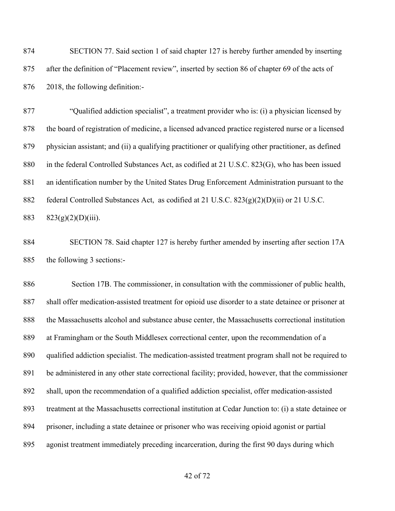SECTION 77. Said section 1 of said chapter 127 is hereby further amended by inserting after the definition of "Placement review", inserted by section 86 of chapter 69 of the acts of 2018, the following definition:-

 "Qualified addiction specialist", a treatment provider who is: (i) a physician licensed by the board of registration of medicine, a licensed advanced practice registered nurse or a licensed physician assistant; and (ii) a qualifying practitioner or qualifying other practitioner, as defined in the federal Controlled Substances Act, as codified at 21 U.S.C. 823(G), who has been issued an identification number by the United States Drug Enforcement Administration pursuant to the federal Controlled Substances Act, as codified at 21 U.S.C. 823(g)(2)(D)(ii) or 21 U.S.C. 883 823(g)(2)(D)(iii).

 SECTION 78. Said chapter 127 is hereby further amended by inserting after section 17A the following 3 sections:-

 Section 17B. The commissioner, in consultation with the commissioner of public health, shall offer medication-assisted treatment for opioid use disorder to a state detainee or prisoner at the Massachusetts alcohol and substance abuse center, the Massachusetts correctional institution at Framingham or the South Middlesex correctional center, upon the recommendation of a qualified addiction specialist. The medication-assisted treatment program shall not be required to be administered in any other state correctional facility; provided, however, that the commissioner shall, upon the recommendation of a qualified addiction specialist, offer medication-assisted treatment at the Massachusetts correctional institution at Cedar Junction to: (i) a state detainee or prisoner, including a state detainee or prisoner who was receiving opioid agonist or partial agonist treatment immediately preceding incarceration, during the first 90 days during which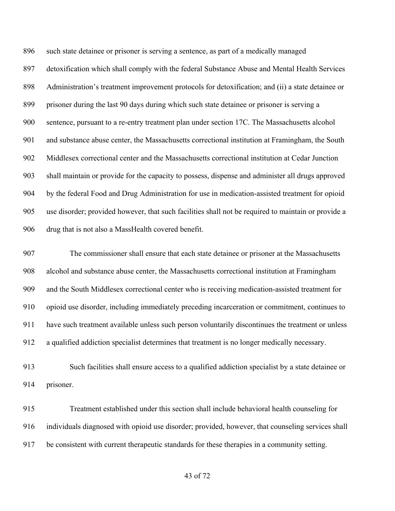such state detainee or prisoner is serving a sentence, as part of a medically managed detoxification which shall comply with the federal Substance Abuse and Mental Health Services Administration's treatment improvement protocols for detoxification; and (ii) a state detainee or prisoner during the last 90 days during which such state detainee or prisoner is serving a sentence, pursuant to a re-entry treatment plan under section 17C. The Massachusetts alcohol and substance abuse center, the Massachusetts correctional institution at Framingham, the South Middlesex correctional center and the Massachusetts correctional institution at Cedar Junction shall maintain or provide for the capacity to possess, dispense and administer all drugs approved by the federal Food and Drug Administration for use in medication-assisted treatment for opioid use disorder; provided however, that such facilities shall not be required to maintain or provide a drug that is not also a MassHealth covered benefit.

 The commissioner shall ensure that each state detainee or prisoner at the Massachusetts alcohol and substance abuse center, the Massachusetts correctional institution at Framingham and the South Middlesex correctional center who is receiving medication-assisted treatment for opioid use disorder, including immediately preceding incarceration or commitment, continues to have such treatment available unless such person voluntarily discontinues the treatment or unless a qualified addiction specialist determines that treatment is no longer medically necessary.

 Such facilities shall ensure access to a qualified addiction specialist by a state detainee or prisoner.

 Treatment established under this section shall include behavioral health counseling for individuals diagnosed with opioid use disorder; provided, however, that counseling services shall be consistent with current therapeutic standards for these therapies in a community setting.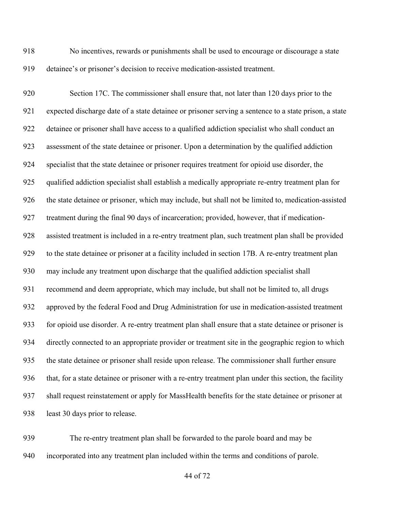No incentives, rewards or punishments shall be used to encourage or discourage a state detainee's or prisoner's decision to receive medication-assisted treatment.

 Section 17C. The commissioner shall ensure that, not later than 120 days prior to the expected discharge date of a state detainee or prisoner serving a sentence to a state prison, a state detainee or prisoner shall have access to a qualified addiction specialist who shall conduct an assessment of the state detainee or prisoner. Upon a determination by the qualified addiction specialist that the state detainee or prisoner requires treatment for opioid use disorder, the qualified addiction specialist shall establish a medically appropriate re-entry treatment plan for the state detainee or prisoner, which may include, but shall not be limited to, medication-assisted treatment during the final 90 days of incarceration; provided, however, that if medication- assisted treatment is included in a re-entry treatment plan, such treatment plan shall be provided to the state detainee or prisoner at a facility included in section 17B. A re-entry treatment plan may include any treatment upon discharge that the qualified addiction specialist shall recommend and deem appropriate, which may include, but shall not be limited to, all drugs approved by the federal Food and Drug Administration for use in medication-assisted treatment for opioid use disorder. A re-entry treatment plan shall ensure that a state detainee or prisoner is directly connected to an appropriate provider or treatment site in the geographic region to which the state detainee or prisoner shall reside upon release. The commissioner shall further ensure that, for a state detainee or prisoner with a re-entry treatment plan under this section, the facility shall request reinstatement or apply for MassHealth benefits for the state detainee or prisoner at least 30 days prior to release.

 The re-entry treatment plan shall be forwarded to the parole board and may be incorporated into any treatment plan included within the terms and conditions of parole.

of 72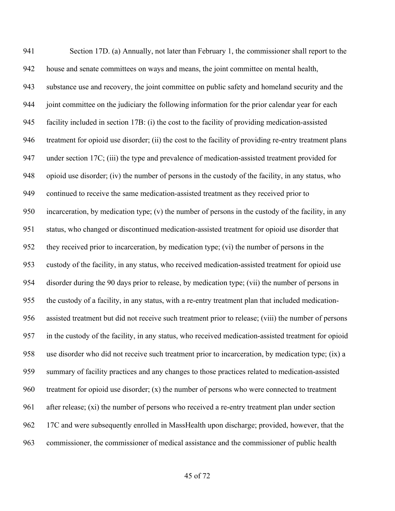Section 17D. (a) Annually, not later than February 1, the commissioner shall report to the house and senate committees on ways and means, the joint committee on mental health, substance use and recovery, the joint committee on public safety and homeland security and the joint committee on the judiciary the following information for the prior calendar year for each facility included in section 17B: (i) the cost to the facility of providing medication-assisted treatment for opioid use disorder; (ii) the cost to the facility of providing re-entry treatment plans under section 17C; (iii) the type and prevalence of medication-assisted treatment provided for opioid use disorder; (iv) the number of persons in the custody of the facility, in any status, who continued to receive the same medication-assisted treatment as they received prior to incarceration, by medication type; (v) the number of persons in the custody of the facility, in any status, who changed or discontinued medication-assisted treatment for opioid use disorder that they received prior to incarceration, by medication type; (vi) the number of persons in the custody of the facility, in any status, who received medication-assisted treatment for opioid use disorder during the 90 days prior to release, by medication type; (vii) the number of persons in the custody of a facility, in any status, with a re-entry treatment plan that included medication- assisted treatment but did not receive such treatment prior to release; (viii) the number of persons in the custody of the facility, in any status, who received medication-assisted treatment for opioid use disorder who did not receive such treatment prior to incarceration, by medication type; (ix) a summary of facility practices and any changes to those practices related to medication-assisted treatment for opioid use disorder; (x) the number of persons who were connected to treatment after release; (xi) the number of persons who received a re-entry treatment plan under section 17C and were subsequently enrolled in MassHealth upon discharge; provided, however, that the commissioner, the commissioner of medical assistance and the commissioner of public health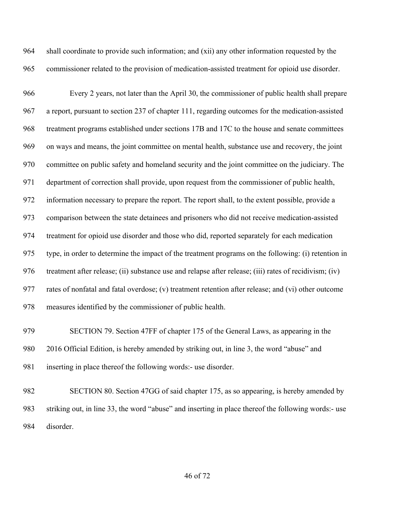shall coordinate to provide such information; and (xii) any other information requested by the commissioner related to the provision of medication-assisted treatment for opioid use disorder.

 Every 2 years, not later than the April 30, the commissioner of public health shall prepare a report, pursuant to section 237 of chapter 111, regarding outcomes for the medication-assisted treatment programs established under sections 17B and 17C to the house and senate committees on ways and means, the joint committee on mental health, substance use and recovery, the joint committee on public safety and homeland security and the joint committee on the judiciary. The department of correction shall provide, upon request from the commissioner of public health, information necessary to prepare the report. The report shall, to the extent possible, provide a comparison between the state detainees and prisoners who did not receive medication-assisted treatment for opioid use disorder and those who did, reported separately for each medication type, in order to determine the impact of the treatment programs on the following: (i) retention in treatment after release; (ii) substance use and relapse after release; (iii) rates of recidivism; (iv) rates of nonfatal and fatal overdose; (v) treatment retention after release; and (vi) other outcome measures identified by the commissioner of public health.

 SECTION 79. Section 47FF of chapter 175 of the General Laws, as appearing in the 2016 Official Edition, is hereby amended by striking out, in line 3, the word "abuse" and inserting in place thereof the following words:- use disorder.

 SECTION 80. Section 47GG of said chapter 175, as so appearing, is hereby amended by striking out, in line 33, the word "abuse" and inserting in place thereof the following words:- use disorder.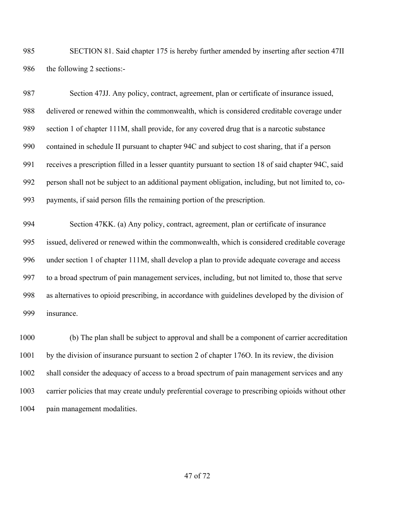SECTION 81. Said chapter 175 is hereby further amended by inserting after section 47II 986 the following 2 sections:-

 Section 47JJ. Any policy, contract, agreement, plan or certificate of insurance issued, delivered or renewed within the commonwealth, which is considered creditable coverage under section 1 of chapter 111M, shall provide, for any covered drug that is a narcotic substance contained in schedule II pursuant to chapter 94C and subject to cost sharing, that if a person receives a prescription filled in a lesser quantity pursuant to section 18 of said chapter 94C, said person shall not be subject to an additional payment obligation, including, but not limited to, co-payments, if said person fills the remaining portion of the prescription.

 Section 47KK. (a) Any policy, contract, agreement, plan or certificate of insurance issued, delivered or renewed within the commonwealth, which is considered creditable coverage under section 1 of chapter 111M, shall develop a plan to provide adequate coverage and access to a broad spectrum of pain management services, including, but not limited to, those that serve as alternatives to opioid prescribing, in accordance with guidelines developed by the division of insurance.

 (b) The plan shall be subject to approval and shall be a component of carrier accreditation by the division of insurance pursuant to section 2 of chapter 176O. In its review, the division shall consider the adequacy of access to a broad spectrum of pain management services and any carrier policies that may create unduly preferential coverage to prescribing opioids without other 1004 pain management modalities.

of 72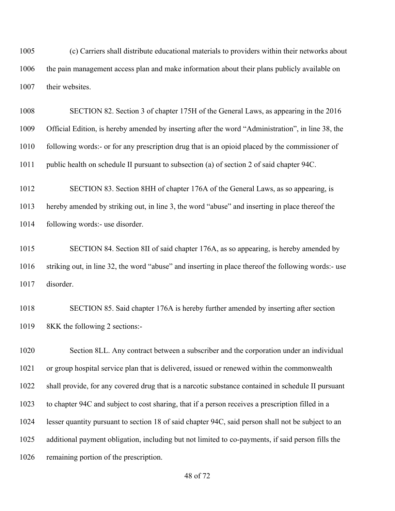(c) Carriers shall distribute educational materials to providers within their networks about the pain management access plan and make information about their plans publicly available on 1007 their websites.

 SECTION 82. Section 3 of chapter 175H of the General Laws, as appearing in the 2016 Official Edition, is hereby amended by inserting after the word "Administration", in line 38, the following words:- or for any prescription drug that is an opioid placed by the commissioner of public health on schedule II pursuant to subsection (a) of section 2 of said chapter 94C.

 SECTION 83. Section 8HH of chapter 176A of the General Laws, as so appearing, is hereby amended by striking out, in line 3, the word "abuse" and inserting in place thereof the following words:- use disorder.

 SECTION 84. Section 8II of said chapter 176A, as so appearing, is hereby amended by striking out, in line 32, the word "abuse" and inserting in place thereof the following words:- use disorder.

 SECTION 85. Said chapter 176A is hereby further amended by inserting after section 8KK the following 2 sections:-

 Section 8LL. Any contract between a subscriber and the corporation under an individual or group hospital service plan that is delivered, issued or renewed within the commonwealth shall provide, for any covered drug that is a narcotic substance contained in schedule II pursuant to chapter 94C and subject to cost sharing, that if a person receives a prescription filled in a lesser quantity pursuant to section 18 of said chapter 94C, said person shall not be subject to an additional payment obligation, including but not limited to co-payments, if said person fills the remaining portion of the prescription.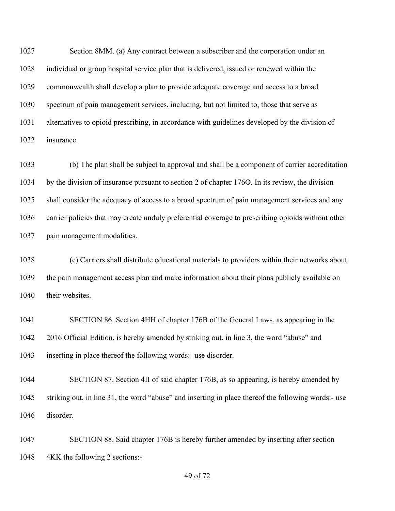Section 8MM. (a) Any contract between a subscriber and the corporation under an individual or group hospital service plan that is delivered, issued or renewed within the commonwealth shall develop a plan to provide adequate coverage and access to a broad spectrum of pain management services, including, but not limited to, those that serve as alternatives to opioid prescribing, in accordance with guidelines developed by the division of insurance.

 (b) The plan shall be subject to approval and shall be a component of carrier accreditation by the division of insurance pursuant to section 2 of chapter 176O. In its review, the division shall consider the adequacy of access to a broad spectrum of pain management services and any carrier policies that may create unduly preferential coverage to prescribing opioids without other pain management modalities.

 (c) Carriers shall distribute educational materials to providers within their networks about the pain management access plan and make information about their plans publicly available on 1040 their websites.

 SECTION 86. Section 4HH of chapter 176B of the General Laws, as appearing in the 2016 Official Edition, is hereby amended by striking out, in line 3, the word "abuse" and inserting in place thereof the following words:- use disorder.

 SECTION 87. Section 4II of said chapter 176B, as so appearing, is hereby amended by striking out, in line 31, the word "abuse" and inserting in place thereof the following words:- use disorder.

 SECTION 88. Said chapter 176B is hereby further amended by inserting after section 4KK the following 2 sections:-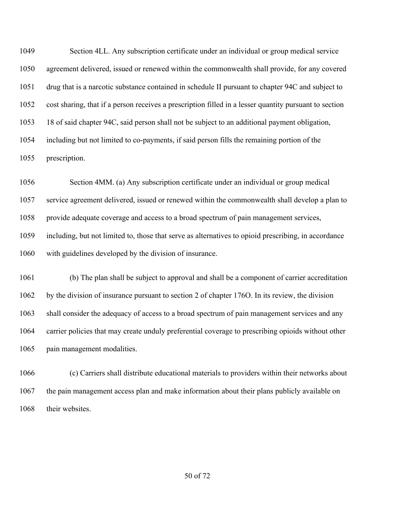Section 4LL. Any subscription certificate under an individual or group medical service agreement delivered, issued or renewed within the commonwealth shall provide, for any covered drug that is a narcotic substance contained in schedule II pursuant to chapter 94C and subject to cost sharing, that if a person receives a prescription filled in a lesser quantity pursuant to section 18 of said chapter 94C, said person shall not be subject to an additional payment obligation, including but not limited to co-payments, if said person fills the remaining portion of the prescription.

 Section 4MM. (a) Any subscription certificate under an individual or group medical service agreement delivered, issued or renewed within the commonwealth shall develop a plan to provide adequate coverage and access to a broad spectrum of pain management services, including, but not limited to, those that serve as alternatives to opioid prescribing, in accordance with guidelines developed by the division of insurance.

 (b) The plan shall be subject to approval and shall be a component of carrier accreditation by the division of insurance pursuant to section 2 of chapter 176O. In its review, the division shall consider the adequacy of access to a broad spectrum of pain management services and any carrier policies that may create unduly preferential coverage to prescribing opioids without other pain management modalities.

 (c) Carriers shall distribute educational materials to providers within their networks about the pain management access plan and make information about their plans publicly available on 1068 their websites.

of 72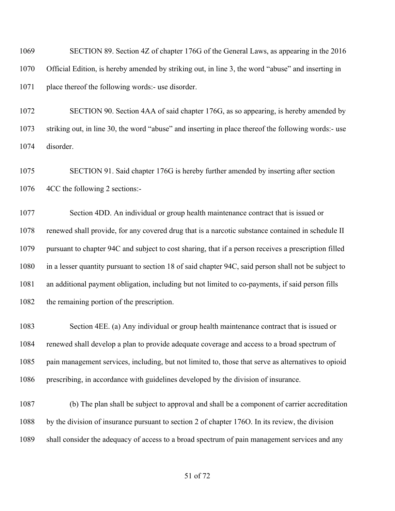SECTION 89. Section 4Z of chapter 176G of the General Laws, as appearing in the 2016 Official Edition, is hereby amended by striking out, in line 3, the word "abuse" and inserting in place thereof the following words:- use disorder.

 SECTION 90. Section 4AA of said chapter 176G, as so appearing, is hereby amended by striking out, in line 30, the word "abuse" and inserting in place thereof the following words:- use disorder.

 SECTION 91. Said chapter 176G is hereby further amended by inserting after section 4CC the following 2 sections:-

 Section 4DD. An individual or group health maintenance contract that is issued or renewed shall provide, for any covered drug that is a narcotic substance contained in schedule II pursuant to chapter 94C and subject to cost sharing, that if a person receives a prescription filled in a lesser quantity pursuant to section 18 of said chapter 94C, said person shall not be subject to an additional payment obligation, including but not limited to co-payments, if said person fills the remaining portion of the prescription.

 Section 4EE. (a) Any individual or group health maintenance contract that is issued or renewed shall develop a plan to provide adequate coverage and access to a broad spectrum of pain management services, including, but not limited to, those that serve as alternatives to opioid prescribing, in accordance with guidelines developed by the division of insurance.

 (b) The plan shall be subject to approval and shall be a component of carrier accreditation by the division of insurance pursuant to section 2 of chapter 176O. In its review, the division shall consider the adequacy of access to a broad spectrum of pain management services and any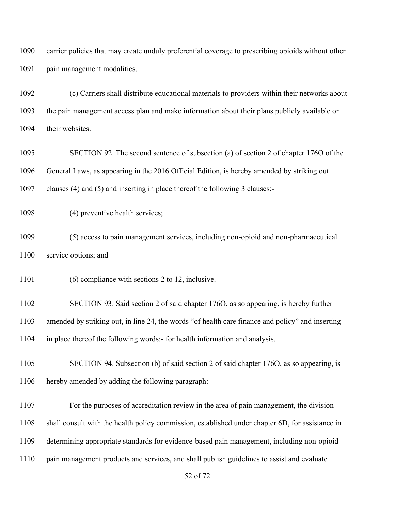carrier policies that may create unduly preferential coverage to prescribing opioids without other pain management modalities.

 (c) Carriers shall distribute educational materials to providers within their networks about the pain management access plan and make information about their plans publicly available on their websites.

 SECTION 92. The second sentence of subsection (a) of section 2 of chapter 176O of the General Laws, as appearing in the 2016 Official Edition, is hereby amended by striking out clauses (4) and (5) and inserting in place thereof the following 3 clauses:-

(4) preventive health services;

 (5) access to pain management services, including non-opioid and non-pharmaceutical service options; and

(6) compliance with sections 2 to 12, inclusive.

 SECTION 93. Said section 2 of said chapter 176O, as so appearing, is hereby further amended by striking out, in line 24, the words "of health care finance and policy" and inserting in place thereof the following words:- for health information and analysis.

 SECTION 94. Subsection (b) of said section 2 of said chapter 176O, as so appearing, is hereby amended by adding the following paragraph:-

 For the purposes of accreditation review in the area of pain management, the division shall consult with the health policy commission, established under chapter 6D, for assistance in determining appropriate standards for evidence-based pain management, including non-opioid pain management products and services, and shall publish guidelines to assist and evaluate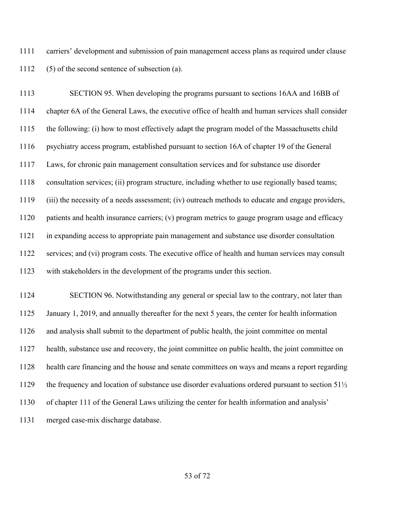carriers' development and submission of pain management access plans as required under clause (5) of the second sentence of subsection (a).

 SECTION 95. When developing the programs pursuant to sections 16AA and 16BB of chapter 6A of the General Laws, the executive office of health and human services shall consider the following: (i) how to most effectively adapt the program model of the Massachusetts child psychiatry access program, established pursuant to section 16A of chapter 19 of the General Laws, for chronic pain management consultation services and for substance use disorder consultation services; (ii) program structure, including whether to use regionally based teams; (iii) the necessity of a needs assessment; (iv) outreach methods to educate and engage providers, patients and health insurance carriers; (v) program metrics to gauge program usage and efficacy in expanding access to appropriate pain management and substance use disorder consultation services; and (vi) program costs. The executive office of health and human services may consult with stakeholders in the development of the programs under this section.

 SECTION 96. Notwithstanding any general or special law to the contrary, not later than January 1, 2019, and annually thereafter for the next 5 years, the center for health information and analysis shall submit to the department of public health, the joint committee on mental health, substance use and recovery, the joint committee on public health, the joint committee on health care financing and the house and senate committees on ways and means a report regarding 1129 the frequency and location of substance use disorder evaluations ordered pursuant to section  $51\frac{1}{2}$  of chapter 111 of the General Laws utilizing the center for health information and analysis' merged case-mix discharge database.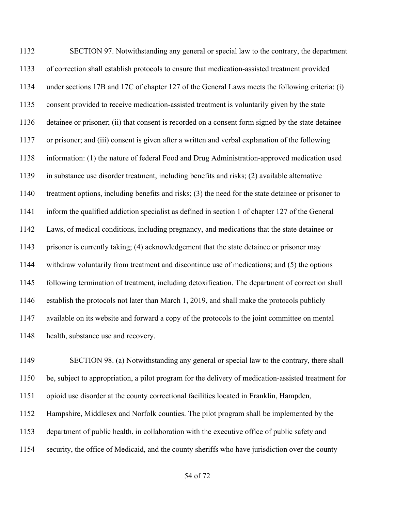SECTION 97. Notwithstanding any general or special law to the contrary, the department of correction shall establish protocols to ensure that medication-assisted treatment provided under sections 17B and 17C of chapter 127 of the General Laws meets the following criteria: (i) consent provided to receive medication-assisted treatment is voluntarily given by the state detainee or prisoner; (ii) that consent is recorded on a consent form signed by the state detainee or prisoner; and (iii) consent is given after a written and verbal explanation of the following information: (1) the nature of federal Food and Drug Administration-approved medication used in substance use disorder treatment, including benefits and risks; (2) available alternative treatment options, including benefits and risks; (3) the need for the state detainee or prisoner to inform the qualified addiction specialist as defined in section 1 of chapter 127 of the General Laws, of medical conditions, including pregnancy, and medications that the state detainee or prisoner is currently taking; (4) acknowledgement that the state detainee or prisoner may withdraw voluntarily from treatment and discontinue use of medications; and (5) the options following termination of treatment, including detoxification. The department of correction shall establish the protocols not later than March 1, 2019, and shall make the protocols publicly available on its website and forward a copy of the protocols to the joint committee on mental health, substance use and recovery.

 SECTION 98. (a) Notwithstanding any general or special law to the contrary, there shall be, subject to appropriation, a pilot program for the delivery of medication-assisted treatment for opioid use disorder at the county correctional facilities located in Franklin, Hampden, Hampshire, Middlesex and Norfolk counties. The pilot program shall be implemented by the department of public health, in collaboration with the executive office of public safety and security, the office of Medicaid, and the county sheriffs who have jurisdiction over the county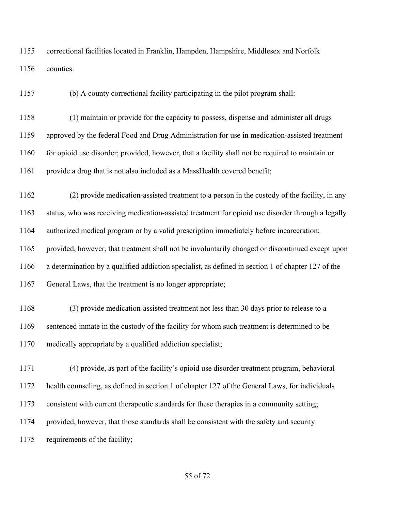correctional facilities located in Franklin, Hampden, Hampshire, Middlesex and Norfolk counties.

(b) A county correctional facility participating in the pilot program shall:

 (1) maintain or provide for the capacity to possess, dispense and administer all drugs approved by the federal Food and Drug Administration for use in medication-assisted treatment for opioid use disorder; provided, however, that a facility shall not be required to maintain or provide a drug that is not also included as a MassHealth covered benefit;

 (2) provide medication-assisted treatment to a person in the custody of the facility, in any status, who was receiving medication-assisted treatment for opioid use disorder through a legally authorized medical program or by a valid prescription immediately before incarceration; provided, however, that treatment shall not be involuntarily changed or discontinued except upon a determination by a qualified addiction specialist, as defined in section 1 of chapter 127 of the

General Laws, that the treatment is no longer appropriate;

 (3) provide medication-assisted treatment not less than 30 days prior to release to a sentenced inmate in the custody of the facility for whom such treatment is determined to be medically appropriate by a qualified addiction specialist;

 (4) provide, as part of the facility's opioid use disorder treatment program, behavioral health counseling, as defined in section 1 of chapter 127 of the General Laws, for individuals consistent with current therapeutic standards for these therapies in a community setting; provided, however, that those standards shall be consistent with the safety and security requirements of the facility;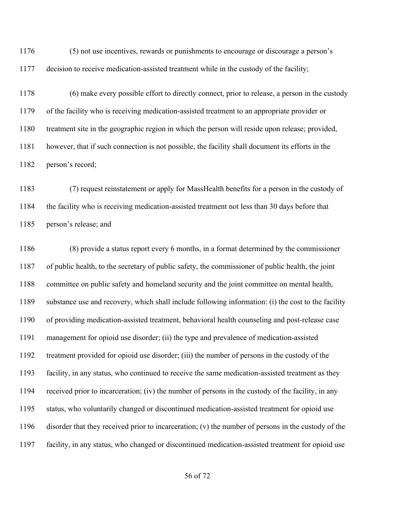(5) not use incentives, rewards or punishments to encourage or discourage a person's decision to receive medication-assisted treatment while in the custody of the facility;

 (6) make every possible effort to directly connect, prior to release, a person in the custody of the facility who is receiving medication-assisted treatment to an appropriate provider or treatment site in the geographic region in which the person will reside upon release; provided, however, that if such connection is not possible, the facility shall document its efforts in the person's record;

 (7) request reinstatement or apply for MassHealth benefits for a person in the custody of the facility who is receiving medication-assisted treatment not less than 30 days before that person's release; and

 (8) provide a status report every 6 months, in a format determined by the commissioner of public health, to the secretary of public safety, the commissioner of public health, the joint committee on public safety and homeland security and the joint committee on mental health, substance use and recovery, which shall include following information: (i) the cost to the facility of providing medication-assisted treatment, behavioral health counseling and post-release case management for opioid use disorder; (ii) the type and prevalence of medication-assisted treatment provided for opioid use disorder; (iii) the number of persons in the custody of the facility, in any status, who continued to receive the same medication-assisted treatment as they received prior to incarceration; (iv) the number of persons in the custody of the facility, in any status, who voluntarily changed or discontinued medication-assisted treatment for opioid use disorder that they received prior to incarceration; (v) the number of persons in the custody of the facility, in any status, who changed or discontinued medication-assisted treatment for opioid use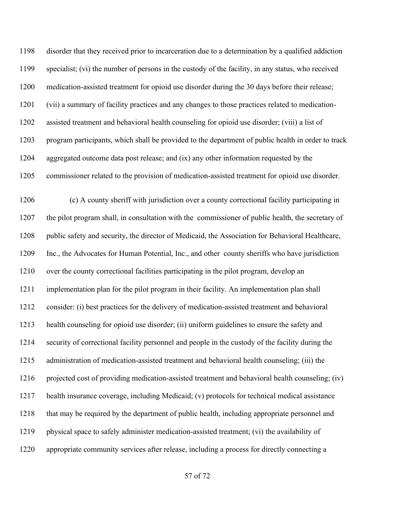disorder that they received prior to incarceration due to a determination by a qualified addiction specialist; (vi) the number of persons in the custody of the facility, in any status, who received medication-assisted treatment for opioid use disorder during the 30 days before their release; (vii) a summary of facility practices and any changes to those practices related to medication- assisted treatment and behavioral health counseling for opioid use disorder; (viii) a list of program participants, which shall be provided to the department of public health in order to track aggregated outcome data post release; and (ix) any other information requested by the commissioner related to the provision of medication-assisted treatment for opioid use disorder.

 (c) A county sheriff with jurisdiction over a county correctional facility participating in the pilot program shall, in consultation with the commissioner of public health, the secretary of public safety and security, the director of Medicaid, the Association for Behavioral Healthcare, Inc., the Advocates for Human Potential, Inc., and other county sheriffs who have jurisdiction over the county correctional facilities participating in the pilot program, develop an implementation plan for the pilot program in their facility. An implementation plan shall consider: (i) best practices for the delivery of medication-assisted treatment and behavioral health counseling for opioid use disorder; (ii) uniform guidelines to ensure the safety and security of correctional facility personnel and people in the custody of the facility during the administration of medication-assisted treatment and behavioral health counseling; (iii) the projected cost of providing medication-assisted treatment and behavioral health counseling; (iv) health insurance coverage, including Medicaid; (v) protocols for technical medical assistance that may be required by the department of public health, including appropriate personnel and physical space to safely administer medication-assisted treatment; (vi) the availability of appropriate community services after release, including a process for directly connecting a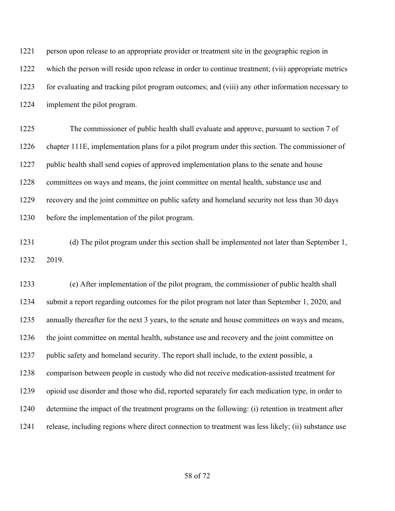person upon release to an appropriate provider or treatment site in the geographic region in which the person will reside upon release in order to continue treatment; (vii) appropriate metrics for evaluating and tracking pilot program outcomes; and (viii) any other information necessary to implement the pilot program.

 The commissioner of public health shall evaluate and approve, pursuant to section 7 of chapter 111E, implementation plans for a pilot program under this section. The commissioner of public health shall send copies of approved implementation plans to the senate and house committees on ways and means, the joint committee on mental health, substance use and recovery and the joint committee on public safety and homeland security not less than 30 days before the implementation of the pilot program.

 (d) The pilot program under this section shall be implemented not later than September 1, 2019.

 (e) After implementation of the pilot program, the commissioner of public health shall submit a report regarding outcomes for the pilot program not later than September 1, 2020, and annually thereafter for the next 3 years, to the senate and house committees on ways and means, the joint committee on mental health, substance use and recovery and the joint committee on 1237 public safety and homeland security. The report shall include, to the extent possible, a comparison between people in custody who did not receive medication-assisted treatment for opioid use disorder and those who did, reported separately for each medication type, in order to determine the impact of the treatment programs on the following: (i) retention in treatment after release, including regions where direct connection to treatment was less likely; (ii) substance use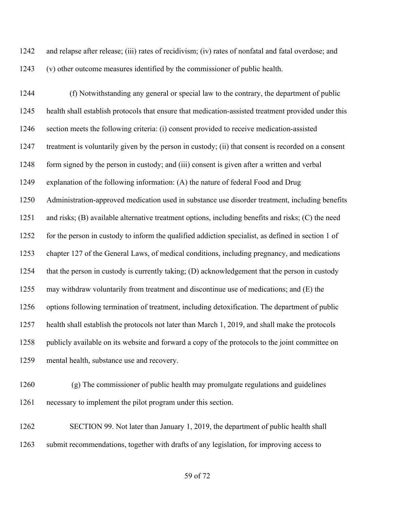and relapse after release; (iii) rates of recidivism; (iv) rates of nonfatal and fatal overdose; and (v) other outcome measures identified by the commissioner of public health.

 (f) Notwithstanding any general or special law to the contrary, the department of public health shall establish protocols that ensure that medication-assisted treatment provided under this section meets the following criteria: (i) consent provided to receive medication-assisted treatment is voluntarily given by the person in custody; (ii) that consent is recorded on a consent form signed by the person in custody; and (iii) consent is given after a written and verbal explanation of the following information: (A) the nature of federal Food and Drug Administration-approved medication used in substance use disorder treatment, including benefits and risks; (B) available alternative treatment options, including benefits and risks; (C) the need for the person in custody to inform the qualified addiction specialist, as defined in section 1 of chapter 127 of the General Laws, of medical conditions, including pregnancy, and medications that the person in custody is currently taking; (D) acknowledgement that the person in custody may withdraw voluntarily from treatment and discontinue use of medications; and (E) the options following termination of treatment, including detoxification. The department of public health shall establish the protocols not later than March 1, 2019, and shall make the protocols publicly available on its website and forward a copy of the protocols to the joint committee on mental health, substance use and recovery.

 (g) The commissioner of public health may promulgate regulations and guidelines necessary to implement the pilot program under this section.

 SECTION 99. Not later than January 1, 2019, the department of public health shall submit recommendations, together with drafts of any legislation, for improving access to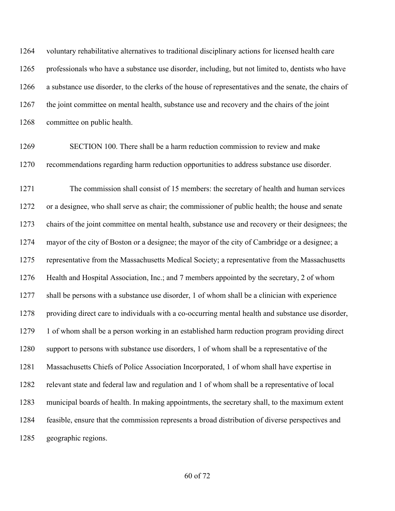voluntary rehabilitative alternatives to traditional disciplinary actions for licensed health care professionals who have a substance use disorder, including, but not limited to, dentists who have a substance use disorder, to the clerks of the house of representatives and the senate, the chairs of the joint committee on mental health, substance use and recovery and the chairs of the joint committee on public health.

 SECTION 100. There shall be a harm reduction commission to review and make recommendations regarding harm reduction opportunities to address substance use disorder.

 The commission shall consist of 15 members: the secretary of health and human services or a designee, who shall serve as chair; the commissioner of public health; the house and senate chairs of the joint committee on mental health, substance use and recovery or their designees; the mayor of the city of Boston or a designee; the mayor of the city of Cambridge or a designee; a representative from the Massachusetts Medical Society; a representative from the Massachusetts Health and Hospital Association, Inc.; and 7 members appointed by the secretary, 2 of whom shall be persons with a substance use disorder, 1 of whom shall be a clinician with experience providing direct care to individuals with a co-occurring mental health and substance use disorder, 1 of whom shall be a person working in an established harm reduction program providing direct support to persons with substance use disorders, 1 of whom shall be a representative of the Massachusetts Chiefs of Police Association Incorporated, 1 of whom shall have expertise in relevant state and federal law and regulation and 1 of whom shall be a representative of local municipal boards of health. In making appointments, the secretary shall, to the maximum extent feasible, ensure that the commission represents a broad distribution of diverse perspectives and geographic regions.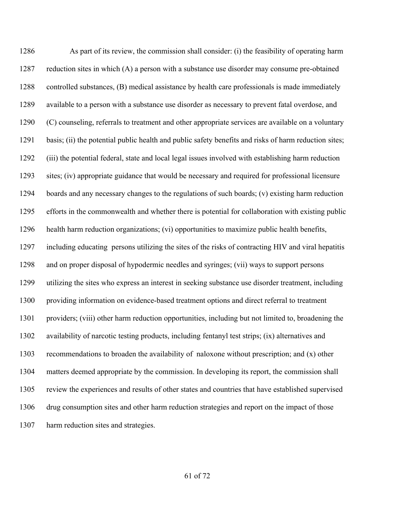As part of its review, the commission shall consider: (i) the feasibility of operating harm reduction sites in which (A) a person with a substance use disorder may consume pre-obtained controlled substances, (B) medical assistance by health care professionals is made immediately available to a person with a substance use disorder as necessary to prevent fatal overdose, and (C) counseling, referrals to treatment and other appropriate services are available on a voluntary basis; (ii) the potential public health and public safety benefits and risks of harm reduction sites; (iii) the potential federal, state and local legal issues involved with establishing harm reduction sites; (iv) appropriate guidance that would be necessary and required for professional licensure boards and any necessary changes to the regulations of such boards; (v) existing harm reduction efforts in the commonwealth and whether there is potential for collaboration with existing public health harm reduction organizations; (vi) opportunities to maximize public health benefits, including educating persons utilizing the sites of the risks of contracting HIV and viral hepatitis and on proper disposal of hypodermic needles and syringes; (vii) ways to support persons utilizing the sites who express an interest in seeking substance use disorder treatment, including providing information on evidence-based treatment options and direct referral to treatment providers; (viii) other harm reduction opportunities, including but not limited to, broadening the availability of narcotic testing products, including fentanyl test strips; (ix) alternatives and recommendations to broaden the availability of naloxone without prescription; and (x) other matters deemed appropriate by the commission. In developing its report, the commission shall review the experiences and results of other states and countries that have established supervised drug consumption sites and other harm reduction strategies and report on the impact of those harm reduction sites and strategies.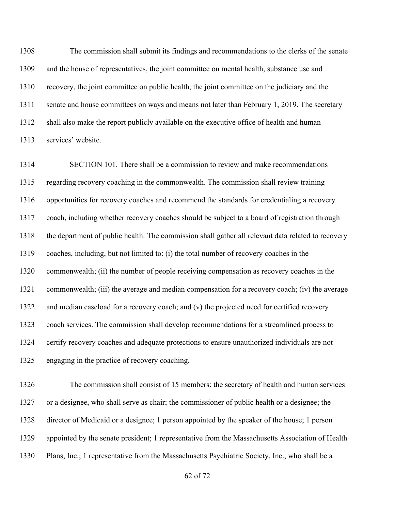The commission shall submit its findings and recommendations to the clerks of the senate and the house of representatives, the joint committee on mental health, substance use and recovery, the joint committee on public health, the joint committee on the judiciary and the 1311 senate and house committees on ways and means not later than February 1, 2019. The secretary shall also make the report publicly available on the executive office of health and human services' website.

 SECTION 101. There shall be a commission to review and make recommendations regarding recovery coaching in the commonwealth. The commission shall review training opportunities for recovery coaches and recommend the standards for credentialing a recovery coach, including whether recovery coaches should be subject to a board of registration through the department of public health. The commission shall gather all relevant data related to recovery coaches, including, but not limited to: (i) the total number of recovery coaches in the commonwealth; (ii) the number of people receiving compensation as recovery coaches in the commonwealth; (iii) the average and median compensation for a recovery coach; (iv) the average and median caseload for a recovery coach; and (v) the projected need for certified recovery coach services. The commission shall develop recommendations for a streamlined process to certify recovery coaches and adequate protections to ensure unauthorized individuals are not engaging in the practice of recovery coaching.

 The commission shall consist of 15 members: the secretary of health and human services or a designee, who shall serve as chair; the commissioner of public health or a designee; the director of Medicaid or a designee; 1 person appointed by the speaker of the house; 1 person appointed by the senate president; 1 representative from the Massachusetts Association of Health Plans, Inc.; 1 representative from the Massachusetts Psychiatric Society, Inc., who shall be a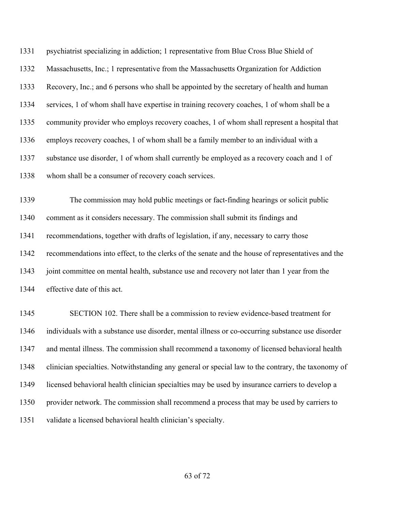psychiatrist specializing in addiction; 1 representative from Blue Cross Blue Shield of Massachusetts, Inc.; 1 representative from the Massachusetts Organization for Addiction Recovery, Inc.; and 6 persons who shall be appointed by the secretary of health and human services, 1 of whom shall have expertise in training recovery coaches, 1 of whom shall be a community provider who employs recovery coaches, 1 of whom shall represent a hospital that employs recovery coaches, 1 of whom shall be a family member to an individual with a substance use disorder, 1 of whom shall currently be employed as a recovery coach and 1 of whom shall be a consumer of recovery coach services.

 The commission may hold public meetings or fact-finding hearings or solicit public comment as it considers necessary. The commission shall submit its findings and recommendations, together with drafts of legislation, if any, necessary to carry those recommendations into effect, to the clerks of the senate and the house of representatives and the joint committee on mental health, substance use and recovery not later than 1 year from the effective date of this act.

 SECTION 102. There shall be a commission to review evidence-based treatment for individuals with a substance use disorder, mental illness or co-occurring substance use disorder and mental illness. The commission shall recommend a taxonomy of licensed behavioral health clinician specialties. Notwithstanding any general or special law to the contrary, the taxonomy of licensed behavioral health clinician specialties may be used by insurance carriers to develop a provider network. The commission shall recommend a process that may be used by carriers to validate a licensed behavioral health clinician's specialty.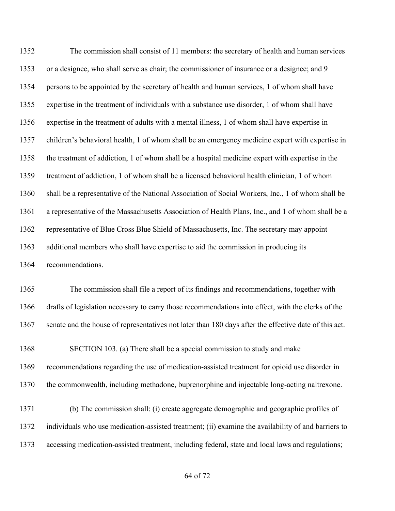The commission shall consist of 11 members: the secretary of health and human services or a designee, who shall serve as chair; the commissioner of insurance or a designee; and 9 persons to be appointed by the secretary of health and human services, 1 of whom shall have expertise in the treatment of individuals with a substance use disorder, 1 of whom shall have expertise in the treatment of adults with a mental illness, 1 of whom shall have expertise in children's behavioral health, 1 of whom shall be an emergency medicine expert with expertise in the treatment of addiction, 1 of whom shall be a hospital medicine expert with expertise in the treatment of addiction, 1 of whom shall be a licensed behavioral health clinician, 1 of whom shall be a representative of the National Association of Social Workers, Inc., 1 of whom shall be a representative of the Massachusetts Association of Health Plans, Inc., and 1 of whom shall be a representative of Blue Cross Blue Shield of Massachusetts, Inc. The secretary may appoint additional members who shall have expertise to aid the commission in producing its recommendations.

 The commission shall file a report of its findings and recommendations, together with drafts of legislation necessary to carry those recommendations into effect, with the clerks of the senate and the house of representatives not later than 180 days after the effective date of this act.

 SECTION 103. (a) There shall be a special commission to study and make recommendations regarding the use of medication-assisted treatment for opioid use disorder in the commonwealth, including methadone, buprenorphine and injectable long-acting naltrexone.

 (b) The commission shall: (i) create aggregate demographic and geographic profiles of individuals who use medication-assisted treatment; (ii) examine the availability of and barriers to accessing medication-assisted treatment, including federal, state and local laws and regulations;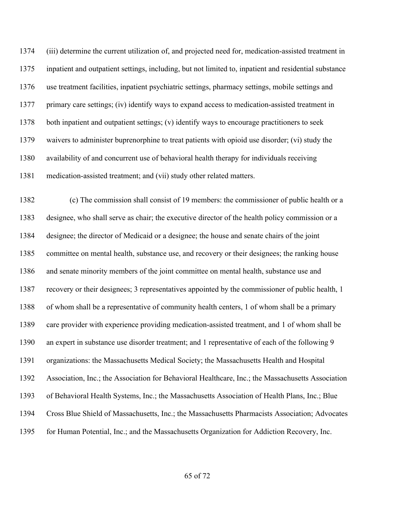(iii) determine the current utilization of, and projected need for, medication-assisted treatment in inpatient and outpatient settings, including, but not limited to, inpatient and residential substance use treatment facilities, inpatient psychiatric settings, pharmacy settings, mobile settings and primary care settings; (iv) identify ways to expand access to medication-assisted treatment in both inpatient and outpatient settings; (v) identify ways to encourage practitioners to seek waivers to administer buprenorphine to treat patients with opioid use disorder; (vi) study the availability of and concurrent use of behavioral health therapy for individuals receiving medication-assisted treatment; and (vii) study other related matters.

 (c) The commission shall consist of 19 members: the commissioner of public health or a designee, who shall serve as chair; the executive director of the health policy commission or a designee; the director of Medicaid or a designee; the house and senate chairs of the joint committee on mental health, substance use, and recovery or their designees; the ranking house and senate minority members of the joint committee on mental health, substance use and recovery or their designees; 3 representatives appointed by the commissioner of public health, 1 of whom shall be a representative of community health centers, 1 of whom shall be a primary care provider with experience providing medication-assisted treatment, and 1 of whom shall be an expert in substance use disorder treatment; and 1 representative of each of the following 9 organizations: the Massachusetts Medical Society; the Massachusetts Health and Hospital Association, Inc.; the Association for Behavioral Healthcare, Inc.; the Massachusetts Association of Behavioral Health Systems, Inc.; the Massachusetts Association of Health Plans, Inc.; Blue Cross Blue Shield of Massachusetts, Inc.; the Massachusetts Pharmacists Association; Advocates for Human Potential, Inc.; and the Massachusetts Organization for Addiction Recovery, Inc.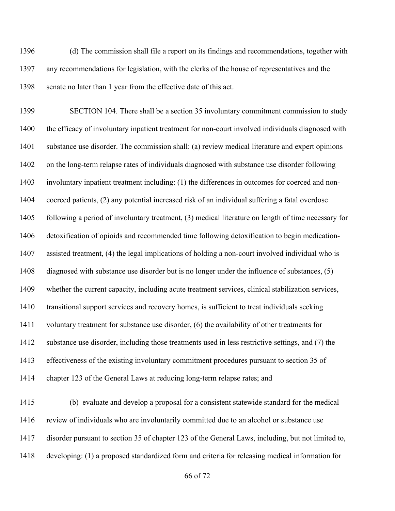(d) The commission shall file a report on its findings and recommendations, together with any recommendations for legislation, with the clerks of the house of representatives and the senate no later than 1 year from the effective date of this act.

 SECTION 104. There shall be a section 35 involuntary commitment commission to study the efficacy of involuntary inpatient treatment for non-court involved individuals diagnosed with substance use disorder. The commission shall: (a) review medical literature and expert opinions on the long-term relapse rates of individuals diagnosed with substance use disorder following involuntary inpatient treatment including: (1) the differences in outcomes for coerced and non- coerced patients, (2) any potential increased risk of an individual suffering a fatal overdose following a period of involuntary treatment, (3) medical literature on length of time necessary for detoxification of opioids and recommended time following detoxification to begin medication- assisted treatment, (4) the legal implications of holding a non-court involved individual who is diagnosed with substance use disorder but is no longer under the influence of substances, (5) whether the current capacity, including acute treatment services, clinical stabilization services, transitional support services and recovery homes, is sufficient to treat individuals seeking voluntary treatment for substance use disorder, (6) the availability of other treatments for substance use disorder, including those treatments used in less restrictive settings, and (7) the effectiveness of the existing involuntary commitment procedures pursuant to section 35 of chapter 123 of the General Laws at reducing long-term relapse rates; and

 (b) evaluate and develop a proposal for a consistent statewide standard for the medical review of individuals who are involuntarily committed due to an alcohol or substance use disorder pursuant to section 35 of chapter 123 of the General Laws, including, but not limited to, developing: (1) a proposed standardized form and criteria for releasing medical information for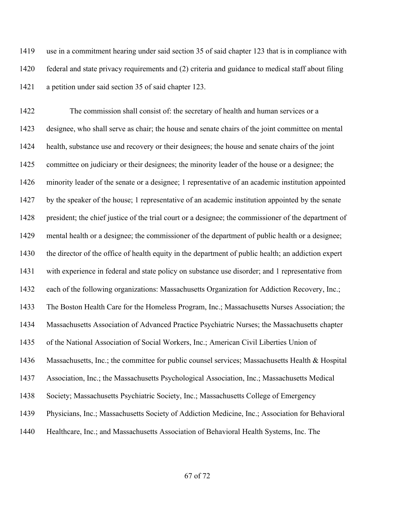use in a commitment hearing under said section 35 of said chapter 123 that is in compliance with federal and state privacy requirements and (2) criteria and guidance to medical staff about filing a petition under said section 35 of said chapter 123.

 The commission shall consist of: the secretary of health and human services or a designee, who shall serve as chair; the house and senate chairs of the joint committee on mental health, substance use and recovery or their designees; the house and senate chairs of the joint committee on judiciary or their designees; the minority leader of the house or a designee; the minority leader of the senate or a designee; 1 representative of an academic institution appointed by the speaker of the house; 1 representative of an academic institution appointed by the senate president; the chief justice of the trial court or a designee; the commissioner of the department of mental health or a designee; the commissioner of the department of public health or a designee; the director of the office of health equity in the department of public health; an addiction expert with experience in federal and state policy on substance use disorder; and 1 representative from each of the following organizations: Massachusetts Organization for Addiction Recovery, Inc.; The Boston Health Care for the Homeless Program, Inc.; Massachusetts Nurses Association; the Massachusetts Association of Advanced Practice Psychiatric Nurses; the Massachusetts chapter of the National Association of Social Workers, Inc.; American Civil Liberties Union of Massachusetts, Inc.; the committee for public counsel services; Massachusetts Health & Hospital Association, Inc.; the Massachusetts Psychological Association, Inc.; Massachusetts Medical Society; Massachusetts Psychiatric Society, Inc.; Massachusetts College of Emergency Physicians, Inc.; Massachusetts Society of Addiction Medicine, Inc.; Association for Behavioral 1440 Healthcare, Inc.; and Massachusetts Association of Behavioral Health Systems, Inc. The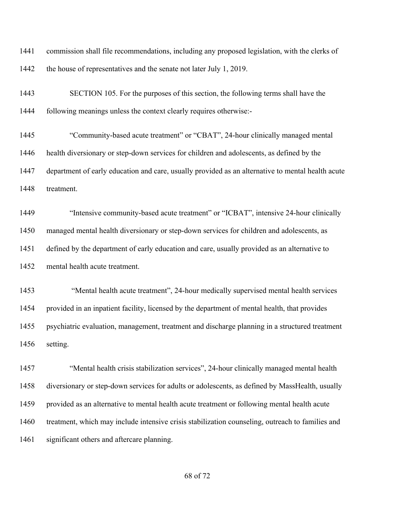commission shall file recommendations, including any proposed legislation, with the clerks of 1442 the house of representatives and the senate not later July 1, 2019.

 SECTION 105. For the purposes of this section, the following terms shall have the following meanings unless the context clearly requires otherwise:-

 "Community-based acute treatment" or "CBAT", 24-hour clinically managed mental health diversionary or step-down services for children and adolescents, as defined by the department of early education and care, usually provided as an alternative to mental health acute treatment.

 "Intensive community-based acute treatment" or "ICBAT", intensive 24-hour clinically managed mental health diversionary or step-down services for children and adolescents, as defined by the department of early education and care, usually provided as an alternative to mental health acute treatment.

 "Mental health acute treatment", 24-hour medically supervised mental health services provided in an inpatient facility, licensed by the department of mental health, that provides psychiatric evaluation, management, treatment and discharge planning in a structured treatment setting.

 "Mental health crisis stabilization services", 24-hour clinically managed mental health diversionary or step-down services for adults or adolescents, as defined by MassHealth, usually provided as an alternative to mental health acute treatment or following mental health acute treatment, which may include intensive crisis stabilization counseling, outreach to families and significant others and aftercare planning.

of 72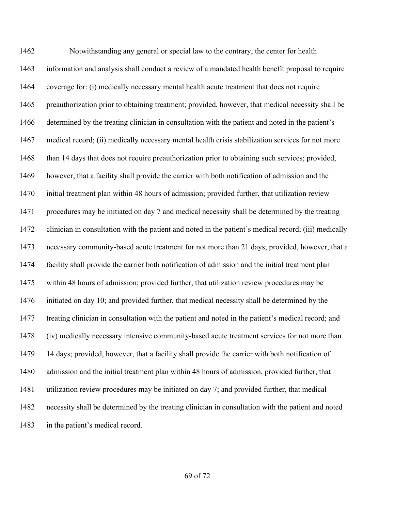Notwithstanding any general or special law to the contrary, the center for health information and analysis shall conduct a review of a mandated health benefit proposal to require coverage for: (i) medically necessary mental health acute treatment that does not require preauthorization prior to obtaining treatment; provided, however, that medical necessity shall be determined by the treating clinician in consultation with the patient and noted in the patient's medical record; (ii) medically necessary mental health crisis stabilization services for not more than 14 days that does not require preauthorization prior to obtaining such services; provided, however, that a facility shall provide the carrier with both notification of admission and the initial treatment plan within 48 hours of admission; provided further, that utilization review procedures may be initiated on day 7 and medical necessity shall be determined by the treating clinician in consultation with the patient and noted in the patient's medical record; (iii) medically necessary community-based acute treatment for not more than 21 days; provided, however, that a facility shall provide the carrier both notification of admission and the initial treatment plan within 48 hours of admission; provided further, that utilization review procedures may be initiated on day 10; and provided further, that medical necessity shall be determined by the treating clinician in consultation with the patient and noted in the patient's medical record; and (iv) medically necessary intensive community-based acute treatment services for not more than 14 days; provided, however, that a facility shall provide the carrier with both notification of admission and the initial treatment plan within 48 hours of admission, provided further, that utilization review procedures may be initiated on day 7; and provided further, that medical necessity shall be determined by the treating clinician in consultation with the patient and noted in the patient's medical record.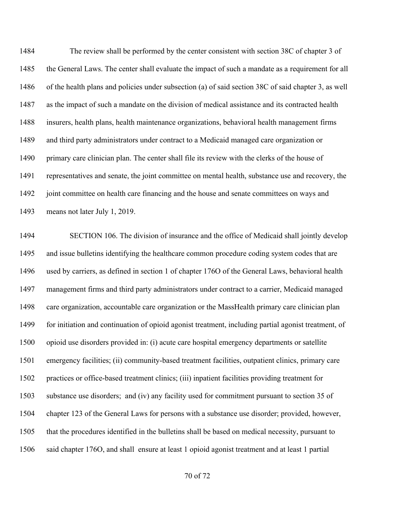The review shall be performed by the center consistent with section 38C of chapter 3 of the General Laws. The center shall evaluate the impact of such a mandate as a requirement for all of the health plans and policies under subsection (a) of said section 38C of said chapter 3, as well as the impact of such a mandate on the division of medical assistance and its contracted health insurers, health plans, health maintenance organizations, behavioral health management firms and third party administrators under contract to a Medicaid managed care organization or primary care clinician plan. The center shall file its review with the clerks of the house of representatives and senate, the joint committee on mental health, substance use and recovery, the 1492 joint committee on health care financing and the house and senate committees on ways and means not later July 1, 2019.

 SECTION 106. The division of insurance and the office of Medicaid shall jointly develop and issue bulletins identifying the healthcare common procedure coding system codes that are used by carriers, as defined in section 1 of chapter 176O of the General Laws, behavioral health management firms and third party administrators under contract to a carrier, Medicaid managed care organization, accountable care organization or the MassHealth primary care clinician plan 1499 for initiation and continuation of opioid agonist treatment, including partial agonist treatment, of opioid use disorders provided in: (i) acute care hospital emergency departments or satellite emergency facilities; (ii) community-based treatment facilities, outpatient clinics, primary care practices or office-based treatment clinics; (iii) inpatient facilities providing treatment for substance use disorders; and (iv) any facility used for commitment pursuant to section 35 of chapter 123 of the General Laws for persons with a substance use disorder; provided, however, that the procedures identified in the bulletins shall be based on medical necessity, pursuant to said chapter 176O, and shall ensure at least 1 opioid agonist treatment and at least 1 partial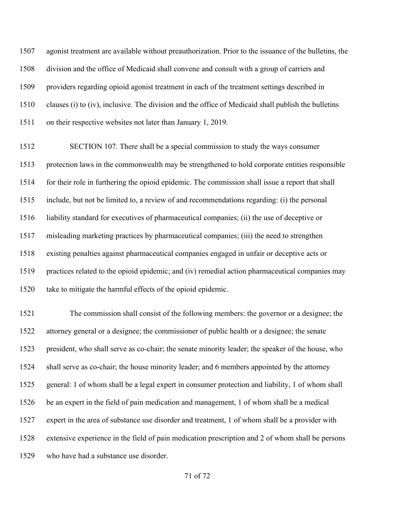agonist treatment are available without preauthorization. Prior to the issuance of the bulletins, the division and the office of Medicaid shall convene and consult with a group of carriers and providers regarding opioid agonist treatment in each of the treatment settings described in clauses (i) to (iv), inclusive. The division and the office of Medicaid shall publish the bulletins on their respective websites not later than January 1, 2019.

 SECTION 107. There shall be a special commission to study the ways consumer protection laws in the commonwealth may be strengthened to hold corporate entities responsible for their role in furthering the opioid epidemic. The commission shall issue a report that shall include, but not be limited to, a review of and recommendations regarding: (i) the personal liability standard for executives of pharmaceutical companies; (ii) the use of deceptive or misleading marketing practices by pharmaceutical companies; (iii) the need to strengthen existing penalties against pharmaceutical companies engaged in unfair or deceptive acts or practices related to the opioid epidemic; and (iv) remedial action pharmaceutical companies may take to mitigate the harmful effects of the opioid epidemic.

 The commission shall consist of the following members: the governor or a designee; the attorney general or a designee; the commissioner of public health or a designee; the senate president, who shall serve as co-chair; the senate minority leader; the speaker of the house, who shall serve as co-chair; the house minority leader; and 6 members appointed by the attorney general: 1 of whom shall be a legal expert in consumer protection and liability, 1 of whom shall be an expert in the field of pain medication and management, 1 of whom shall be a medical expert in the area of substance use disorder and treatment, 1 of whom shall be a provider with extensive experience in the field of pain medication prescription and 2 of whom shall be persons who have had a substance use disorder.